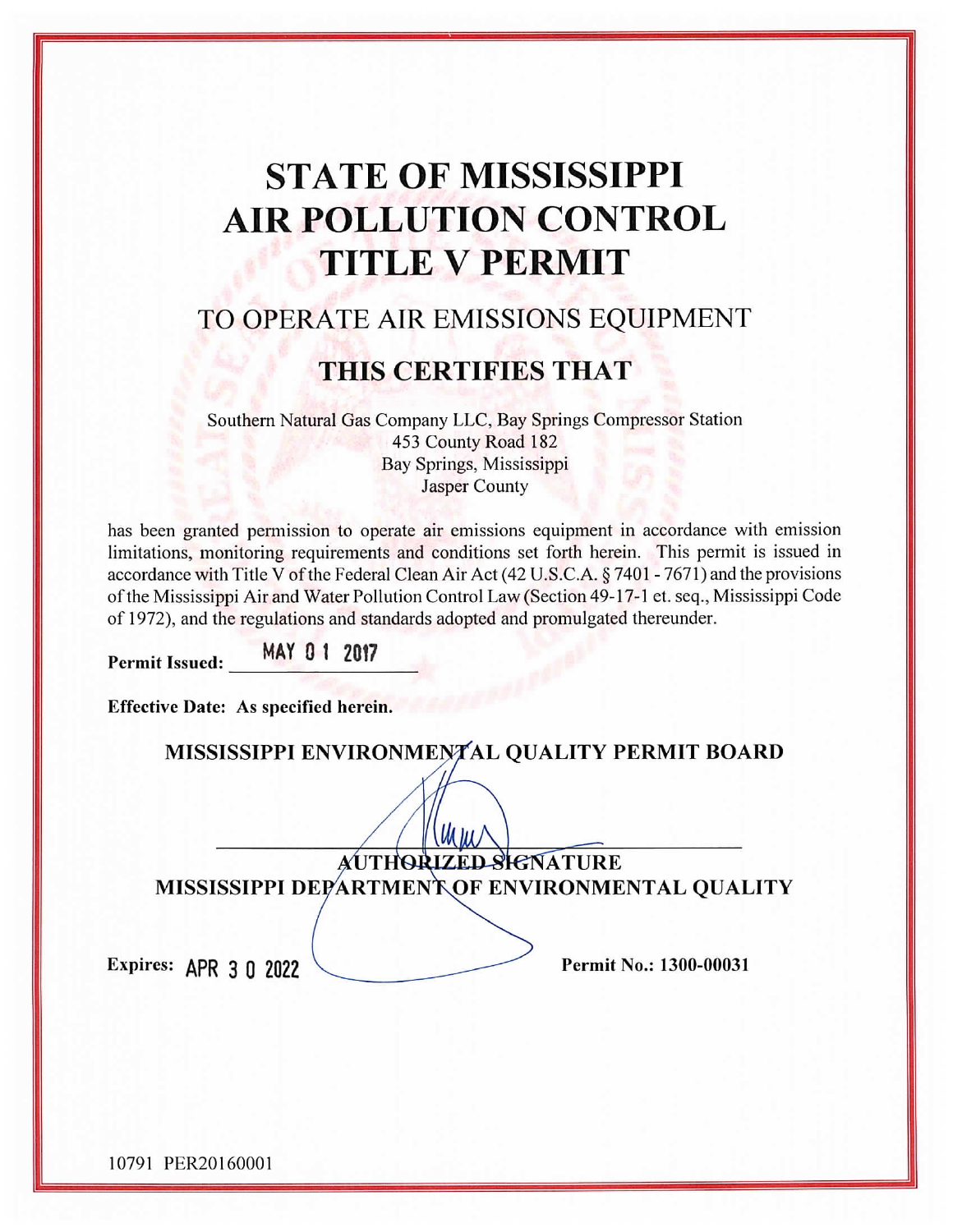# **STATE OF MISSISSIPPI AIR POLLUTION CONTROL TITLE V PERMIT**

# TO OPERATE AIR EMISSIONS EQUIPMENT

# THIS CERTIFIES THAT

Southern Natural Gas Company LLC, Bay Springs Compressor Station 453 County Road 182 Bay Springs, Mississippi **Jasper County** 

has been granted permission to operate air emissions equipment in accordance with emission limitations, monitoring requirements and conditions set forth herein. This permit is issued in accordance with Title V of the Federal Clean Air Act (42 U.S.C.A. § 7401 - 7671) and the provisions of the Mississippi Air and Water Pollution Control Law (Section 49-17-1 et. seq., Mississippi Code of 1972), and the regulations and standards adopted and promulgated thereunder.

MAY 01 2017 Permit Issued:

| Effective Date: As specified herein.            |
|-------------------------------------------------|
| MISSISSIPPI ENVIRONMENTAL QUALITY PERMIT BOARD  |
|                                                 |
| AUTHORIZED SIGNATURE                            |
| MISSISSIPPI DEPARTMENT OF ENVIRONMENTAL QUALITY |
|                                                 |
| Permit No.: 1300-00031<br>Expires: APR 3 0 2022 |

10791 PER20160001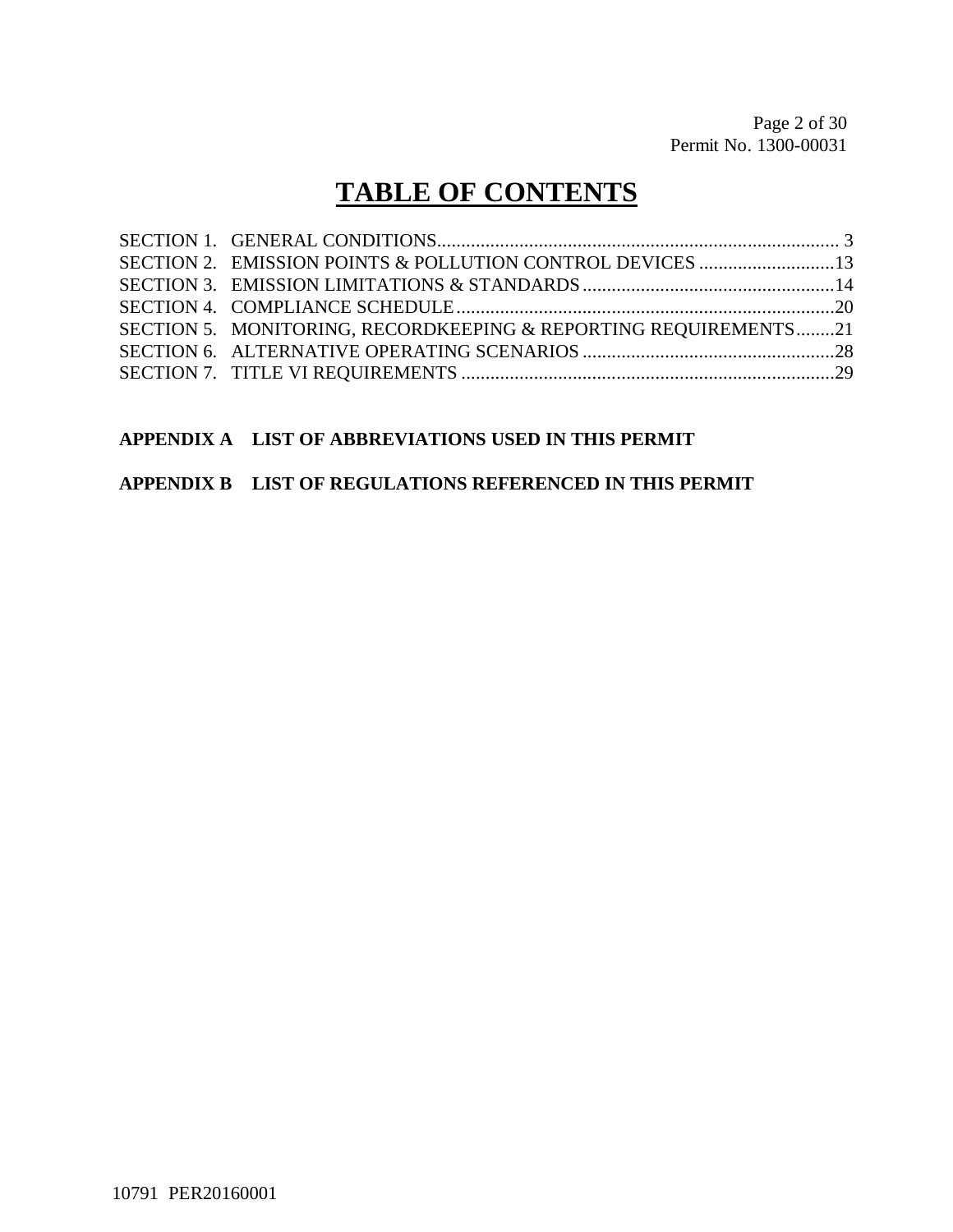# **TABLE OF CONTENTS**

| SECTION 5. MONITORING, RECORDKEEPING & REPORTING REOUIREMENTS21 |  |
|-----------------------------------------------------------------|--|
|                                                                 |  |
|                                                                 |  |

## **APPENDIX A LIST OF ABBREVIATIONS USED IN THIS PERMIT**

#### **APPENDIX B LIST OF REGULATIONS REFERENCED IN THIS PERMIT**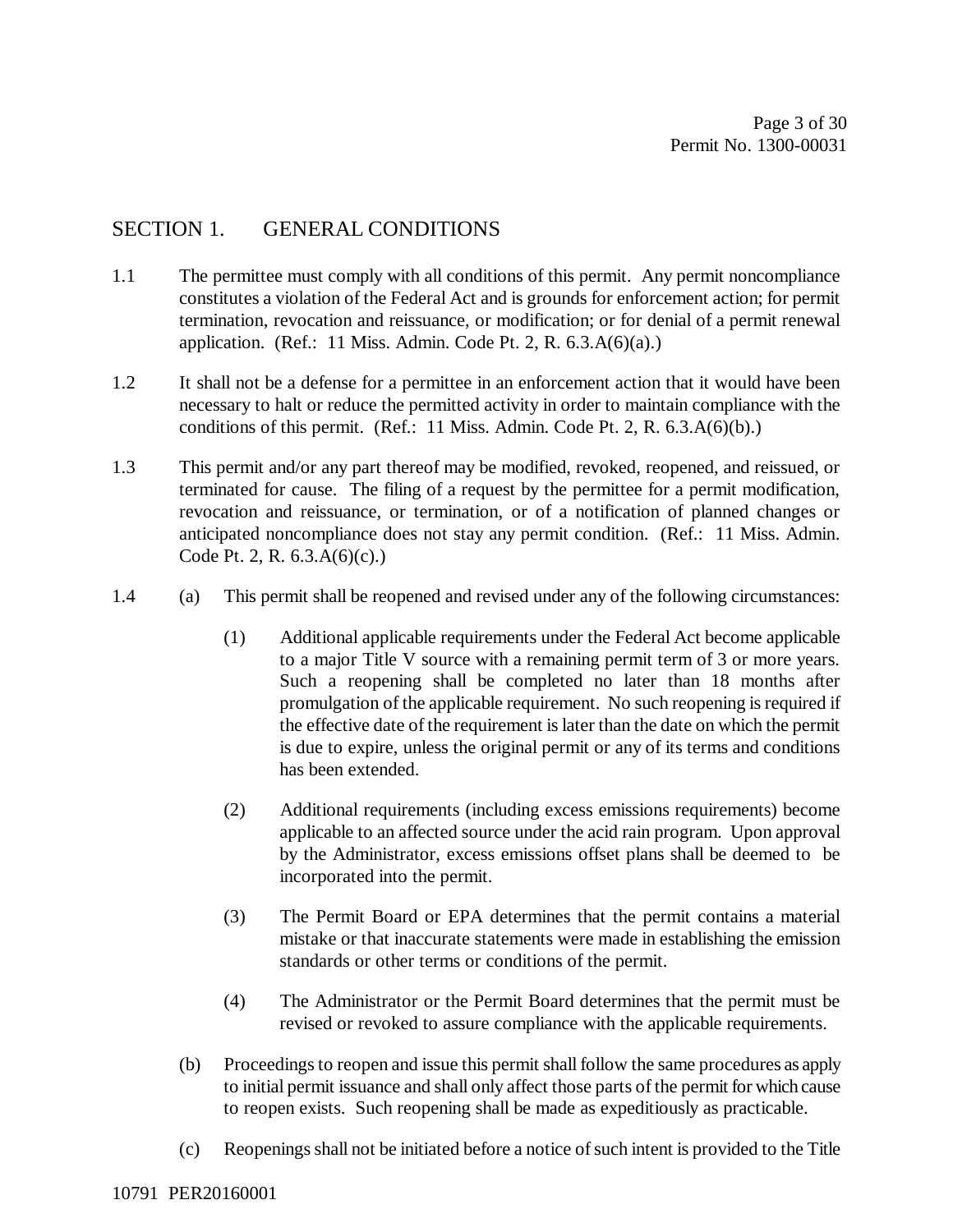## SECTION 1. GENERAL CONDITIONS

- 1.1 The permittee must comply with all conditions of this permit. Any permit noncompliance constitutes a violation of the Federal Act and is grounds for enforcement action; for permit termination, revocation and reissuance, or modification; or for denial of a permit renewal application. (Ref.: 11 Miss. Admin. Code Pt. 2, R.  $6.3.A(6)(a)$ .)
- 1.2 It shall not be a defense for a permittee in an enforcement action that it would have been necessary to halt or reduce the permitted activity in order to maintain compliance with the conditions of this permit. (Ref.: 11 Miss. Admin. Code Pt. 2, R. 6.3.A(6)(b).)
- 1.3 This permit and/or any part thereof may be modified, revoked, reopened, and reissued, or terminated for cause. The filing of a request by the permittee for a permit modification, revocation and reissuance, or termination, or of a notification of planned changes or anticipated noncompliance does not stay any permit condition. (Ref.: 11 Miss. Admin. Code Pt. 2, R. 6.3.A(6)(c).)
- 1.4 (a) This permit shall be reopened and revised under any of the following circumstances:
	- (1) Additional applicable requirements under the Federal Act become applicable to a major Title V source with a remaining permit term of 3 or more years. Such a reopening shall be completed no later than 18 months after promulgation of the applicable requirement. No such reopening is required if the effective date of the requirement is later than the date on which the permit is due to expire, unless the original permit or any of its terms and conditions has been extended.
	- (2) Additional requirements (including excess emissions requirements) become applicable to an affected source under the acid rain program. Upon approval by the Administrator, excess emissions offset plans shall be deemed to be incorporated into the permit.
	- (3) The Permit Board or EPA determines that the permit contains a material mistake or that inaccurate statements were made in establishing the emission standards or other terms or conditions of the permit.
	- (4) The Administrator or the Permit Board determines that the permit must be revised or revoked to assure compliance with the applicable requirements.
	- (b) Proceedings to reopen and issue this permit shall follow the same procedures as apply to initial permit issuance and shall only affect those parts of the permit for which cause to reopen exists. Such reopening shall be made as expeditiously as practicable.
	- (c) Reopenings shall not be initiated before a notice of such intent is provided to the Title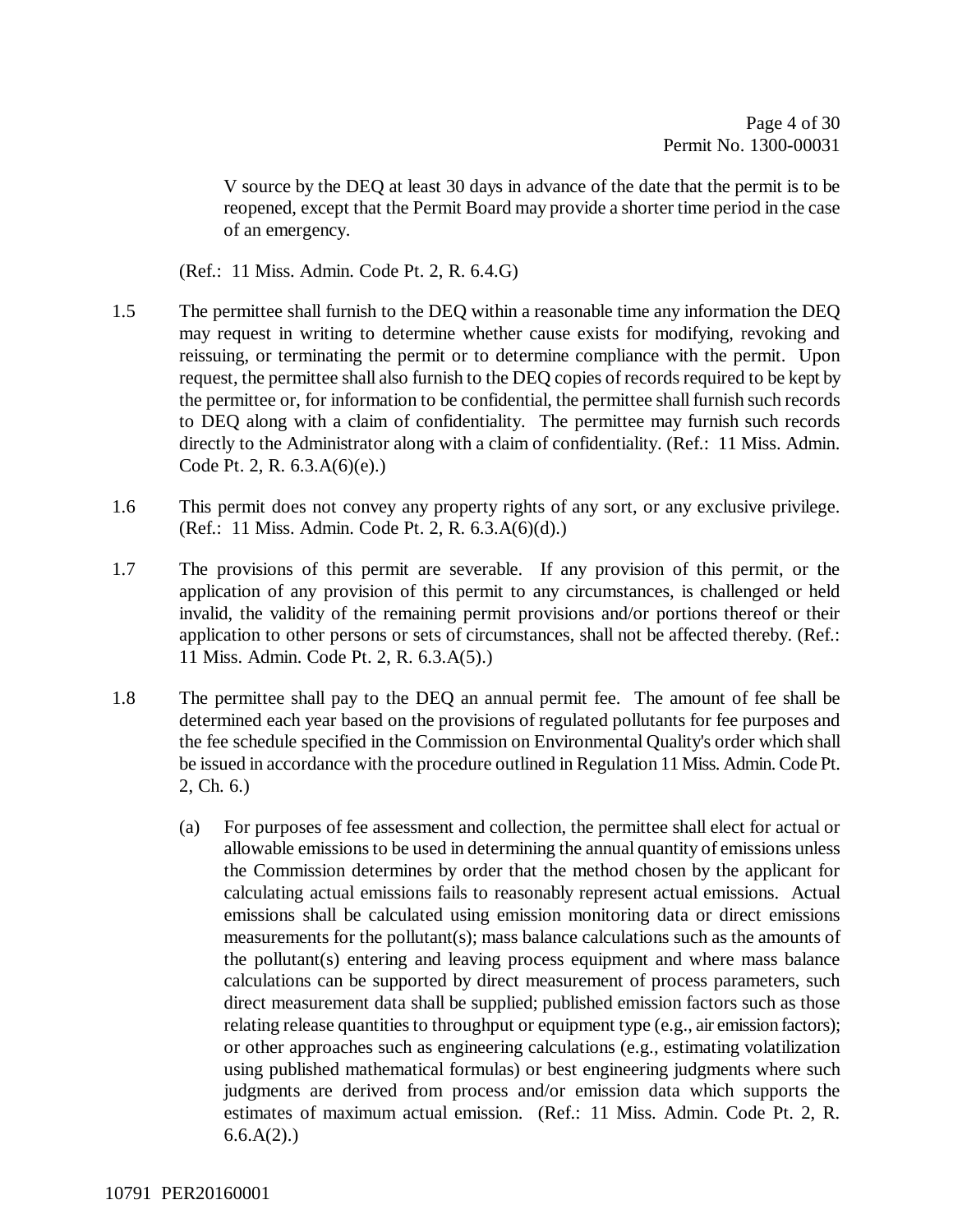V source by the DEQ at least 30 days in advance of the date that the permit is to be reopened, except that the Permit Board may provide a shorter time period in the case of an emergency.

(Ref.: 11 Miss. Admin. Code Pt. 2, R. 6.4.G)

- 1.5 The permittee shall furnish to the DEQ within a reasonable time any information the DEQ may request in writing to determine whether cause exists for modifying, revoking and reissuing, or terminating the permit or to determine compliance with the permit. Upon request, the permittee shall also furnish to the DEQ copies of records required to be kept by the permittee or, for information to be confidential, the permittee shall furnish such records to DEQ along with a claim of confidentiality. The permittee may furnish such records directly to the Administrator along with a claim of confidentiality. (Ref.: 11 Miss. Admin. Code Pt. 2, R. 6.3.A(6)(e).)
- 1.6 This permit does not convey any property rights of any sort, or any exclusive privilege. (Ref.: 11 Miss. Admin. Code Pt. 2, R. 6.3.A(6)(d).)
- 1.7 The provisions of this permit are severable. If any provision of this permit, or the application of any provision of this permit to any circumstances, is challenged or held invalid, the validity of the remaining permit provisions and/or portions thereof or their application to other persons or sets of circumstances, shall not be affected thereby. (Ref.: 11 Miss. Admin. Code Pt. 2, R. 6.3.A(5).)
- 1.8 The permittee shall pay to the DEQ an annual permit fee. The amount of fee shall be determined each year based on the provisions of regulated pollutants for fee purposes and the fee schedule specified in the Commission on Environmental Quality's order which shall be issued in accordance with the procedure outlined in Regulation 11 Miss. Admin. Code Pt. 2, Ch. 6.)
	- (a) For purposes of fee assessment and collection, the permittee shall elect for actual or allowable emissions to be used in determining the annual quantity of emissions unless the Commission determines by order that the method chosen by the applicant for calculating actual emissions fails to reasonably represent actual emissions. Actual emissions shall be calculated using emission monitoring data or direct emissions measurements for the pollutant(s); mass balance calculations such as the amounts of the pollutant(s) entering and leaving process equipment and where mass balance calculations can be supported by direct measurement of process parameters, such direct measurement data shall be supplied; published emission factors such as those relating release quantities to throughput or equipment type (e.g., air emission factors); or other approaches such as engineering calculations (e.g., estimating volatilization using published mathematical formulas) or best engineering judgments where such judgments are derived from process and/or emission data which supports the estimates of maximum actual emission. (Ref.: 11 Miss. Admin. Code Pt. 2, R.  $6.6.A(2)$ .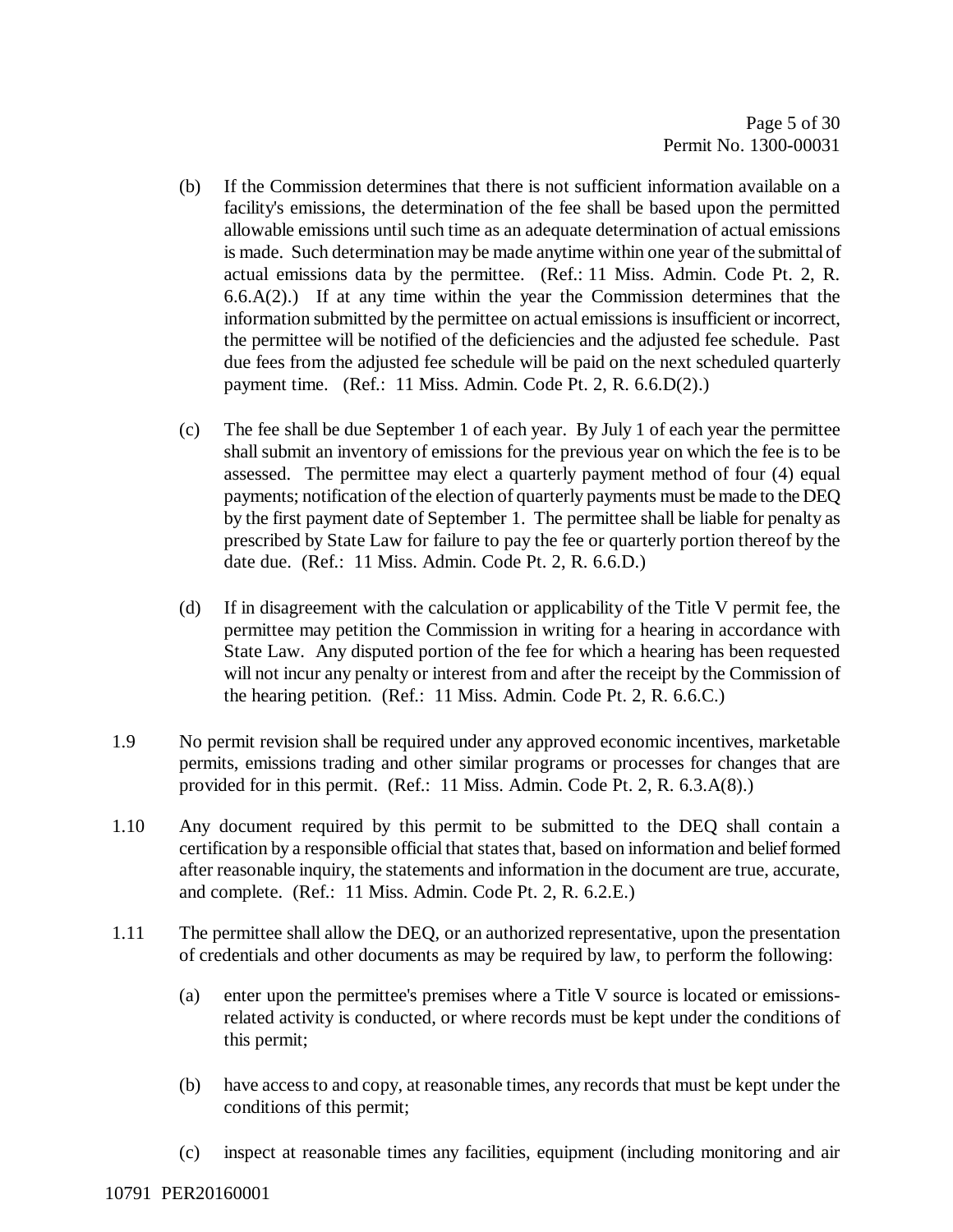- (b) If the Commission determines that there is not sufficient information available on a facility's emissions, the determination of the fee shall be based upon the permitted allowable emissions until such time as an adequate determination of actual emissions is made. Such determination may be made anytime within one year of the submittal of actual emissions data by the permittee. (Ref.: 11 Miss. Admin. Code Pt. 2, R.  $6.6.A(2)$ .) If at any time within the year the Commission determines that the information submitted by the permittee on actual emissions is insufficient or incorrect, the permittee will be notified of the deficiencies and the adjusted fee schedule. Past due fees from the adjusted fee schedule will be paid on the next scheduled quarterly payment time. (Ref.: 11 Miss. Admin. Code Pt. 2, R. 6.6.D(2).)
- (c) The fee shall be due September 1 of each year. By July 1 of each year the permittee shall submit an inventory of emissions for the previous year on which the fee is to be assessed. The permittee may elect a quarterly payment method of four (4) equal payments; notification of the election of quarterly payments must be made to the DEQ by the first payment date of September 1. The permittee shall be liable for penalty as prescribed by State Law for failure to pay the fee or quarterly portion thereof by the date due. (Ref.: 11 Miss. Admin. Code Pt. 2, R. 6.6.D.)
- (d) If in disagreement with the calculation or applicability of the Title V permit fee, the permittee may petition the Commission in writing for a hearing in accordance with State Law. Any disputed portion of the fee for which a hearing has been requested will not incur any penalty or interest from and after the receipt by the Commission of the hearing petition. (Ref.: 11 Miss. Admin. Code Pt. 2, R. 6.6.C.)
- 1.9 No permit revision shall be required under any approved economic incentives, marketable permits, emissions trading and other similar programs or processes for changes that are provided for in this permit. (Ref.: 11 Miss. Admin. Code Pt. 2, R. 6.3.A(8).)
- 1.10 Any document required by this permit to be submitted to the DEQ shall contain a certification by a responsible official that states that, based on information and belief formed after reasonable inquiry, the statements and information in the document are true, accurate, and complete. (Ref.: 11 Miss. Admin. Code Pt. 2, R. 6.2.E.)
- 1.11 The permittee shall allow the DEQ, or an authorized representative, upon the presentation of credentials and other documents as may be required by law, to perform the following:
	- (a) enter upon the permittee's premises where a Title V source is located or emissionsrelated activity is conducted, or where records must be kept under the conditions of this permit;
	- (b) have access to and copy, at reasonable times, any records that must be kept under the conditions of this permit;
	- (c) inspect at reasonable times any facilities, equipment (including monitoring and air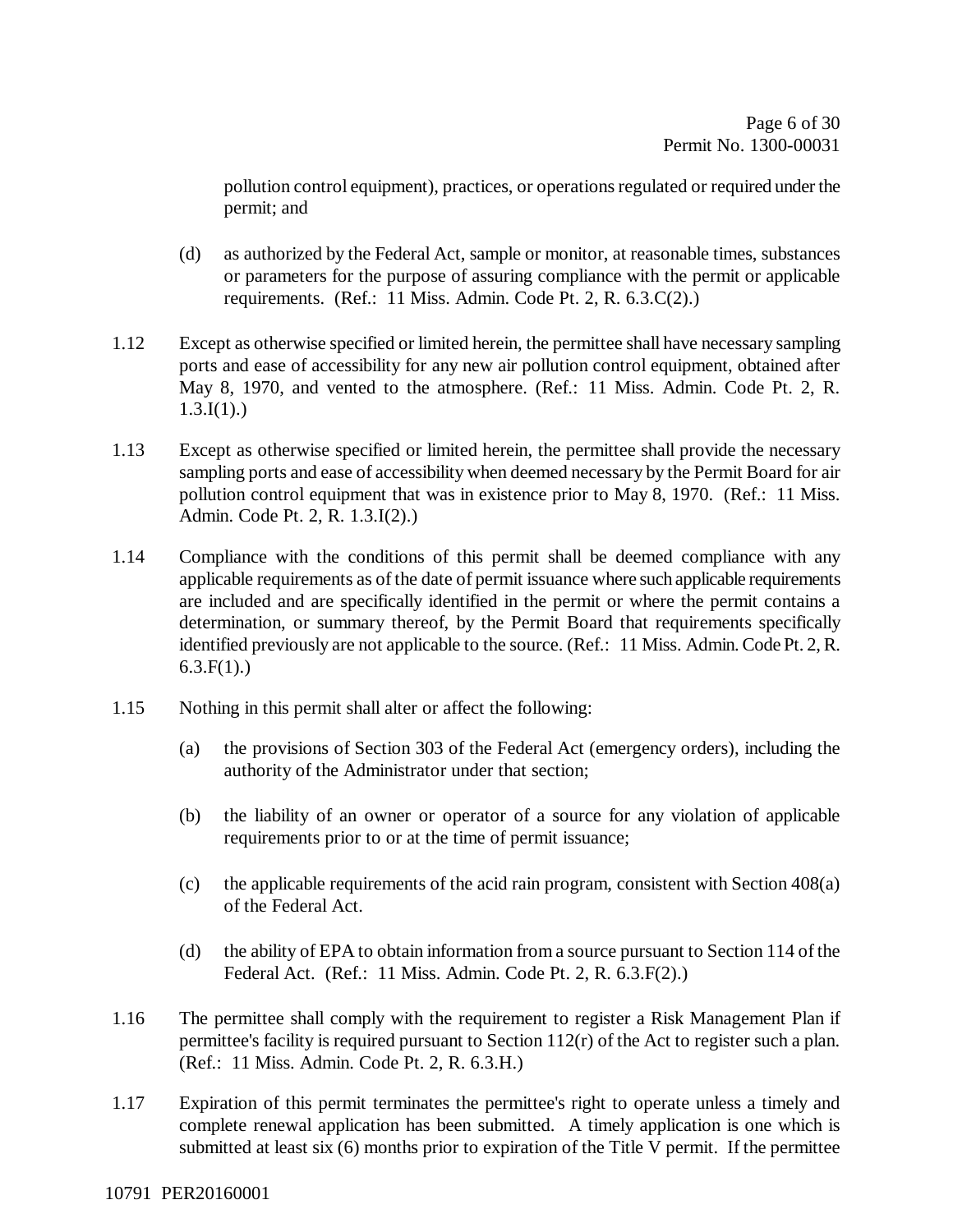pollution control equipment), practices, or operations regulated or required under the permit; and

- (d) as authorized by the Federal Act, sample or monitor, at reasonable times, substances or parameters for the purpose of assuring compliance with the permit or applicable requirements. (Ref.: 11 Miss. Admin. Code Pt. 2, R. 6.3.C(2).)
- 1.12 Except as otherwise specified or limited herein, the permittee shall have necessary sampling ports and ease of accessibility for any new air pollution control equipment, obtained after May 8, 1970, and vented to the atmosphere. (Ref.: 11 Miss. Admin. Code Pt. 2, R.  $1.3.I(1)$ .)
- 1.13 Except as otherwise specified or limited herein, the permittee shall provide the necessary sampling ports and ease of accessibility when deemed necessary by the Permit Board for air pollution control equipment that was in existence prior to May 8, 1970. (Ref.: 11 Miss. Admin. Code Pt. 2, R. 1.3.I(2).)
- 1.14 Compliance with the conditions of this permit shall be deemed compliance with any applicable requirements as of the date of permit issuance where such applicable requirements are included and are specifically identified in the permit or where the permit contains a determination, or summary thereof, by the Permit Board that requirements specifically identified previously are not applicable to the source. (Ref.: 11 Miss. Admin. Code Pt. 2, R.  $6.3.F(1)$ .)
- 1.15 Nothing in this permit shall alter or affect the following:
	- (a) the provisions of Section 303 of the Federal Act (emergency orders), including the authority of the Administrator under that section;
	- (b) the liability of an owner or operator of a source for any violation of applicable requirements prior to or at the time of permit issuance;
	- (c) the applicable requirements of the acid rain program, consistent with Section 408(a) of the Federal Act.
	- (d) the ability of EPA to obtain information from a source pursuant to Section 114 of the Federal Act. (Ref.: 11 Miss. Admin. Code Pt. 2, R. 6.3.F(2).)
- 1.16 The permittee shall comply with the requirement to register a Risk Management Plan if permittee's facility is required pursuant to Section 112(r) of the Act to register such a plan. (Ref.: 11 Miss. Admin. Code Pt. 2, R. 6.3.H.)
- 1.17 Expiration of this permit terminates the permittee's right to operate unless a timely and complete renewal application has been submitted. A timely application is one which is submitted at least six (6) months prior to expiration of the Title V permit. If the permittee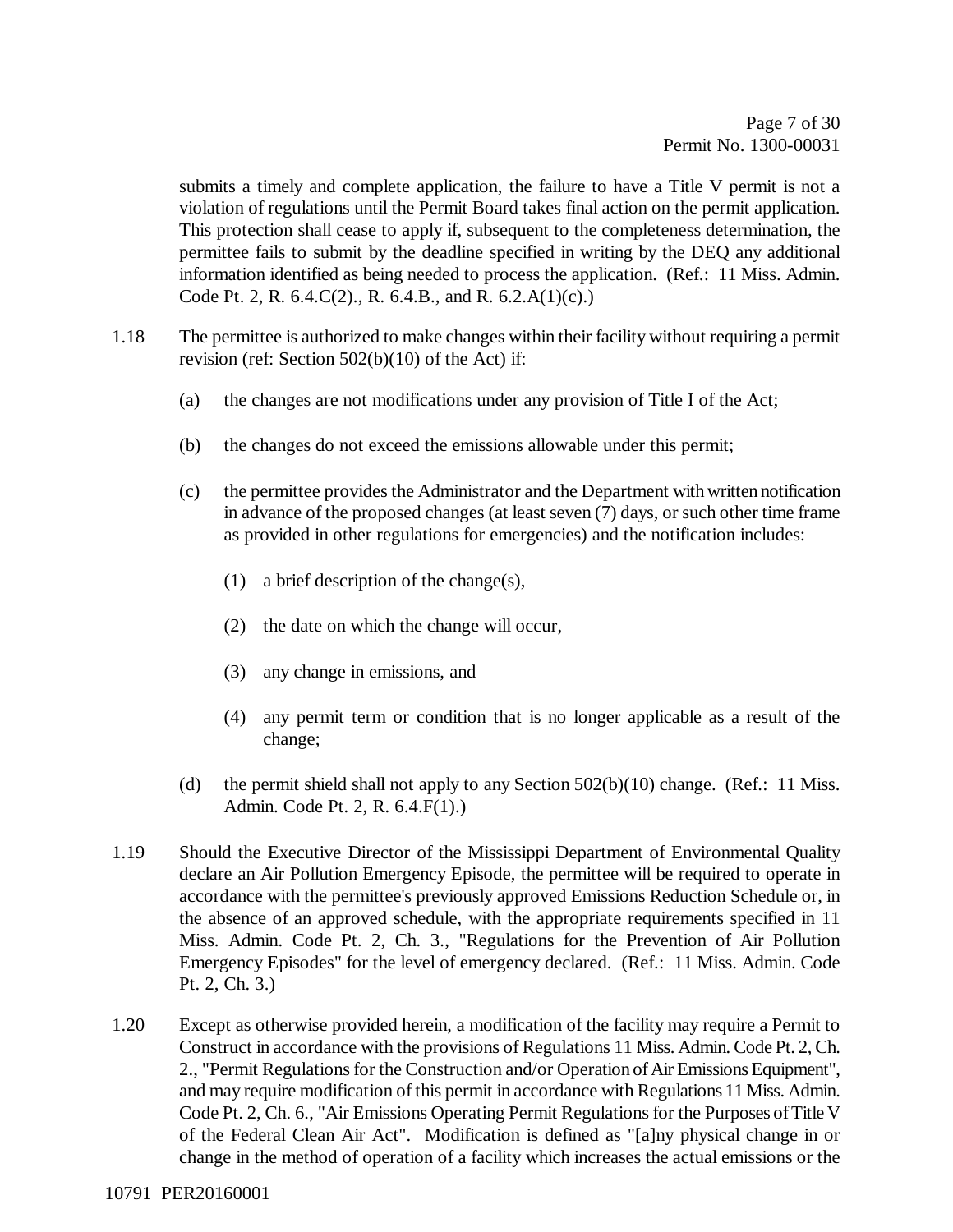submits a timely and complete application, the failure to have a Title V permit is not a violation of regulations until the Permit Board takes final action on the permit application. This protection shall cease to apply if, subsequent to the completeness determination, the permittee fails to submit by the deadline specified in writing by the DEQ any additional information identified as being needed to process the application. (Ref.: 11 Miss. Admin. Code Pt. 2, R. 6.4.C(2)., R. 6.4.B., and R. 6.2.A(1)(c).)

- 1.18 The permittee is authorized to make changes within their facility without requiring a permit revision (ref: Section 502(b)(10) of the Act) if:
	- (a) the changes are not modifications under any provision of Title I of the Act;
	- (b) the changes do not exceed the emissions allowable under this permit;
	- (c) the permittee provides the Administrator and the Department with written notification in advance of the proposed changes (at least seven (7) days, or such other time frame as provided in other regulations for emergencies) and the notification includes:
		- (1) a brief description of the change(s),
		- (2) the date on which the change will occur,
		- (3) any change in emissions, and
		- (4) any permit term or condition that is no longer applicable as a result of the change;
	- (d) the permit shield shall not apply to any Section  $502(b)(10)$  change. (Ref.: 11 Miss. Admin. Code Pt. 2, R. 6.4.F(1).)
- 1.19 Should the Executive Director of the Mississippi Department of Environmental Quality declare an Air Pollution Emergency Episode, the permittee will be required to operate in accordance with the permittee's previously approved Emissions Reduction Schedule or, in the absence of an approved schedule, with the appropriate requirements specified in 11 Miss. Admin. Code Pt. 2, Ch. 3., "Regulations for the Prevention of Air Pollution Emergency Episodes" for the level of emergency declared. (Ref.: 11 Miss. Admin. Code Pt. 2, Ch. 3.)
- 1.20 Except as otherwise provided herein, a modification of the facility may require a Permit to Construct in accordance with the provisions of Regulations 11 Miss. Admin. Code Pt. 2, Ch. 2., "Permit Regulations for the Construction and/or Operation of Air Emissions Equipment", and may require modification of this permit in accordance with Regulations 11 Miss. Admin. Code Pt. 2, Ch. 6., "Air Emissions Operating Permit Regulations for the Purposes of Title V of the Federal Clean Air Act". Modification is defined as "[a]ny physical change in or change in the method of operation of a facility which increases the actual emissions or the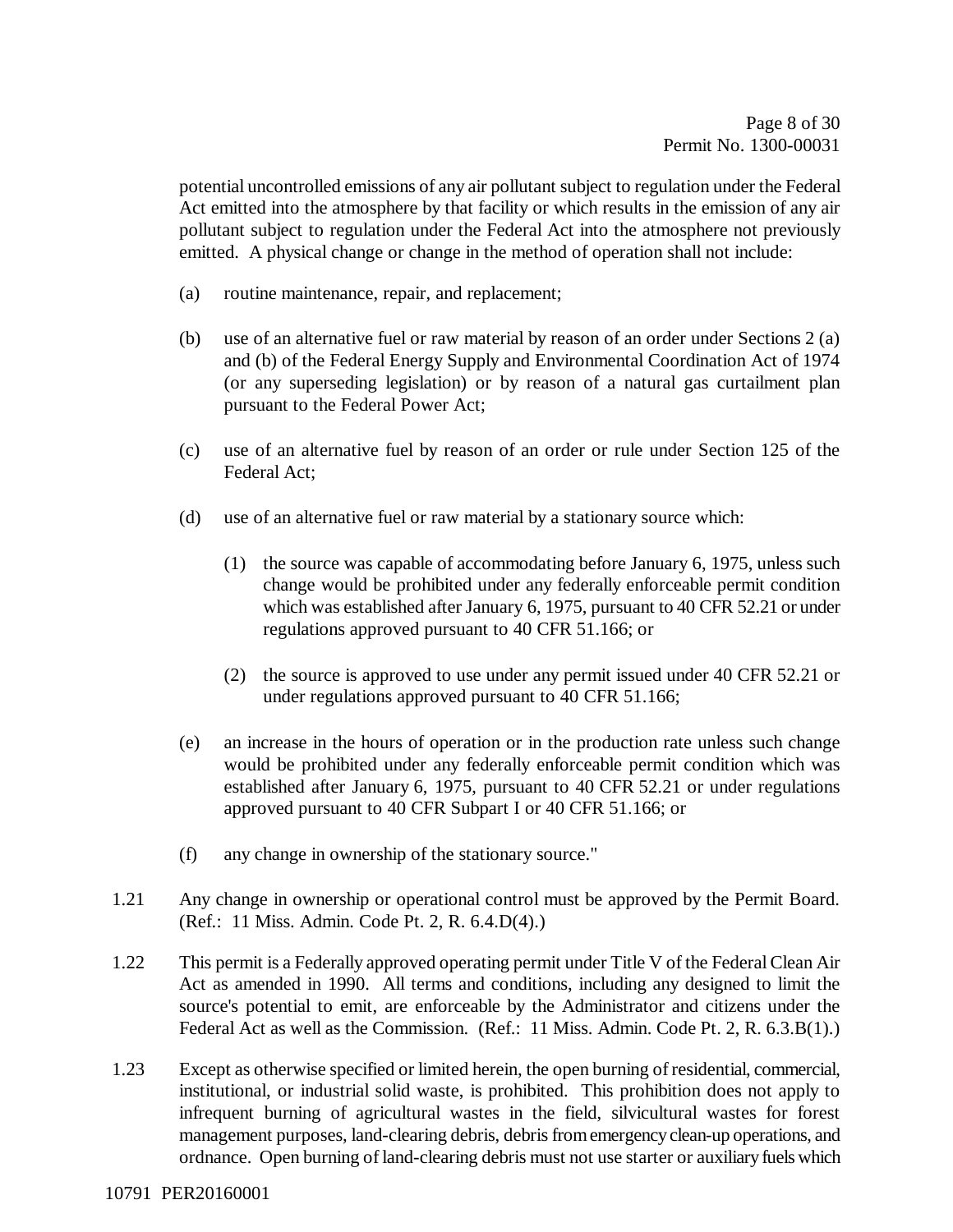potential uncontrolled emissions of any air pollutant subject to regulation under the Federal Act emitted into the atmosphere by that facility or which results in the emission of any air pollutant subject to regulation under the Federal Act into the atmosphere not previously emitted. A physical change or change in the method of operation shall not include:

- (a) routine maintenance, repair, and replacement;
- (b) use of an alternative fuel or raw material by reason of an order under Sections 2 (a) and (b) of the Federal Energy Supply and Environmental Coordination Act of 1974 (or any superseding legislation) or by reason of a natural gas curtailment plan pursuant to the Federal Power Act;
- (c) use of an alternative fuel by reason of an order or rule under Section 125 of the Federal Act;
- (d) use of an alternative fuel or raw material by a stationary source which:
	- (1) the source was capable of accommodating before January 6, 1975, unless such change would be prohibited under any federally enforceable permit condition which was established after January 6, 1975, pursuant to 40 CFR 52.21 or under regulations approved pursuant to 40 CFR 51.166; or
	- (2) the source is approved to use under any permit issued under 40 CFR 52.21 or under regulations approved pursuant to 40 CFR 51.166;
- (e) an increase in the hours of operation or in the production rate unless such change would be prohibited under any federally enforceable permit condition which was established after January 6, 1975, pursuant to 40 CFR 52.21 or under regulations approved pursuant to 40 CFR Subpart I or 40 CFR 51.166; or
- (f) any change in ownership of the stationary source."
- 1.21 Any change in ownership or operational control must be approved by the Permit Board. (Ref.: 11 Miss. Admin. Code Pt. 2, R. 6.4.D(4).)
- 1.22 This permit is a Federally approved operating permit under Title V of the Federal Clean Air Act as amended in 1990. All terms and conditions, including any designed to limit the source's potential to emit, are enforceable by the Administrator and citizens under the Federal Act as well as the Commission. (Ref.: 11 Miss. Admin. Code Pt. 2, R. 6.3.B(1).)
- 1.23 Except as otherwise specified or limited herein, the open burning of residential, commercial, institutional, or industrial solid waste, is prohibited. This prohibition does not apply to infrequent burning of agricultural wastes in the field, silvicultural wastes for forest management purposes, land-clearing debris, debris from emergency clean-up operations, and ordnance. Open burning of land-clearing debris must not use starter or auxiliary fuels which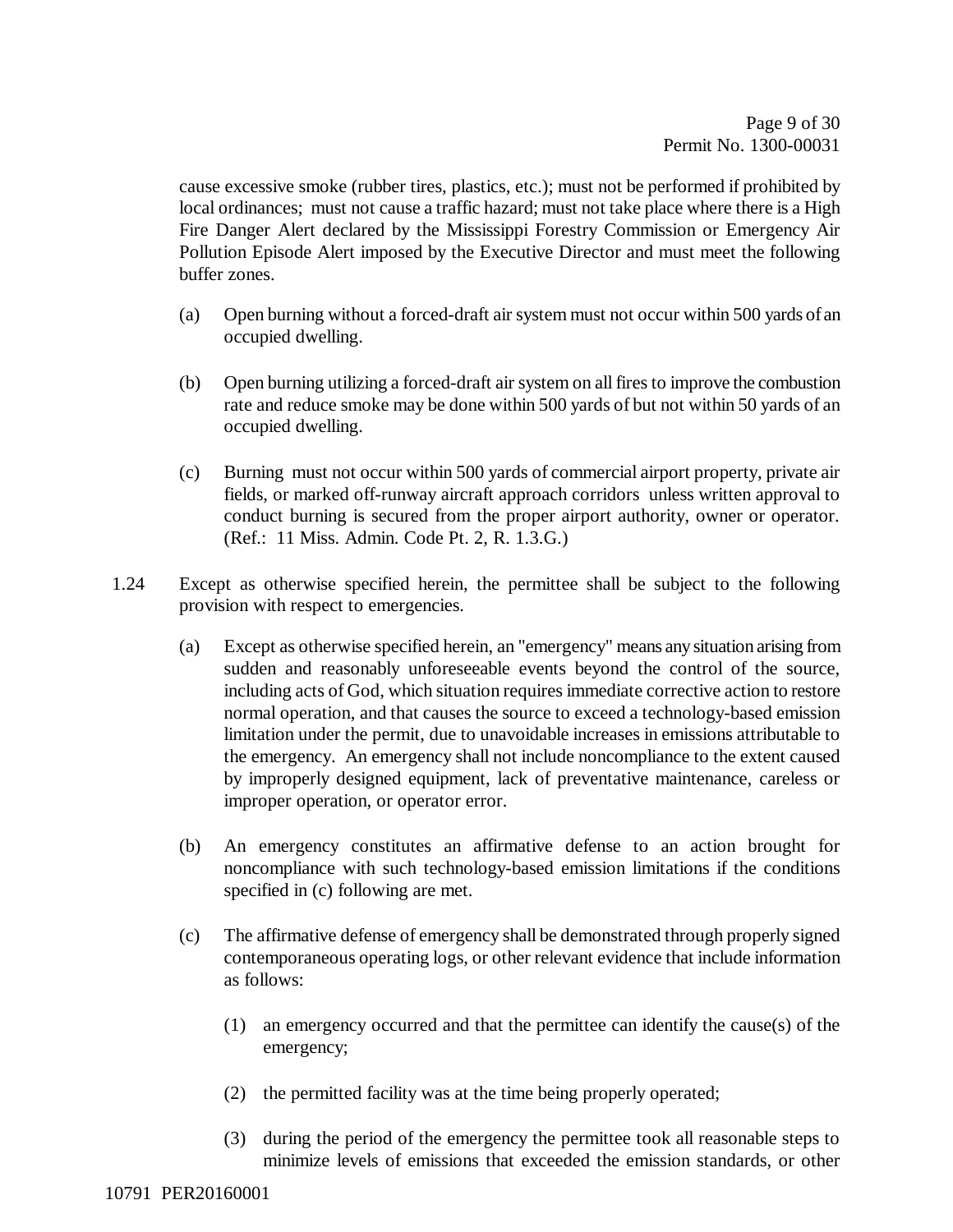cause excessive smoke (rubber tires, plastics, etc.); must not be performed if prohibited by local ordinances; must not cause a traffic hazard; must not take place where there is a High Fire Danger Alert declared by the Mississippi Forestry Commission or Emergency Air Pollution Episode Alert imposed by the Executive Director and must meet the following buffer zones.

- (a) Open burning without a forced-draft air system must not occur within 500 yards of an occupied dwelling.
- (b) Open burning utilizing a forced-draft air system on all fires to improve the combustion rate and reduce smoke may be done within 500 yards of but not within 50 yards of an occupied dwelling.
- (c) Burning must not occur within 500 yards of commercial airport property, private air fields, or marked off-runway aircraft approach corridors unless written approval to conduct burning is secured from the proper airport authority, owner or operator. (Ref.: 11 Miss. Admin. Code Pt. 2, R. 1.3.G.)
- 1.24 Except as otherwise specified herein, the permittee shall be subject to the following provision with respect to emergencies.
	- (a) Except as otherwise specified herein, an "emergency" means any situation arising from sudden and reasonably unforeseeable events beyond the control of the source, including acts of God, which situation requires immediate corrective action to restore normal operation, and that causes the source to exceed a technology-based emission limitation under the permit, due to unavoidable increases in emissions attributable to the emergency. An emergency shall not include noncompliance to the extent caused by improperly designed equipment, lack of preventative maintenance, careless or improper operation, or operator error.
	- (b) An emergency constitutes an affirmative defense to an action brought for noncompliance with such technology-based emission limitations if the conditions specified in (c) following are met.
	- (c) The affirmative defense of emergency shall be demonstrated through properly signed contemporaneous operating logs, or other relevant evidence that include information as follows:
		- (1) an emergency occurred and that the permittee can identify the cause(s) of the emergency;
		- (2) the permitted facility was at the time being properly operated;
		- (3) during the period of the emergency the permittee took all reasonable steps to minimize levels of emissions that exceeded the emission standards, or other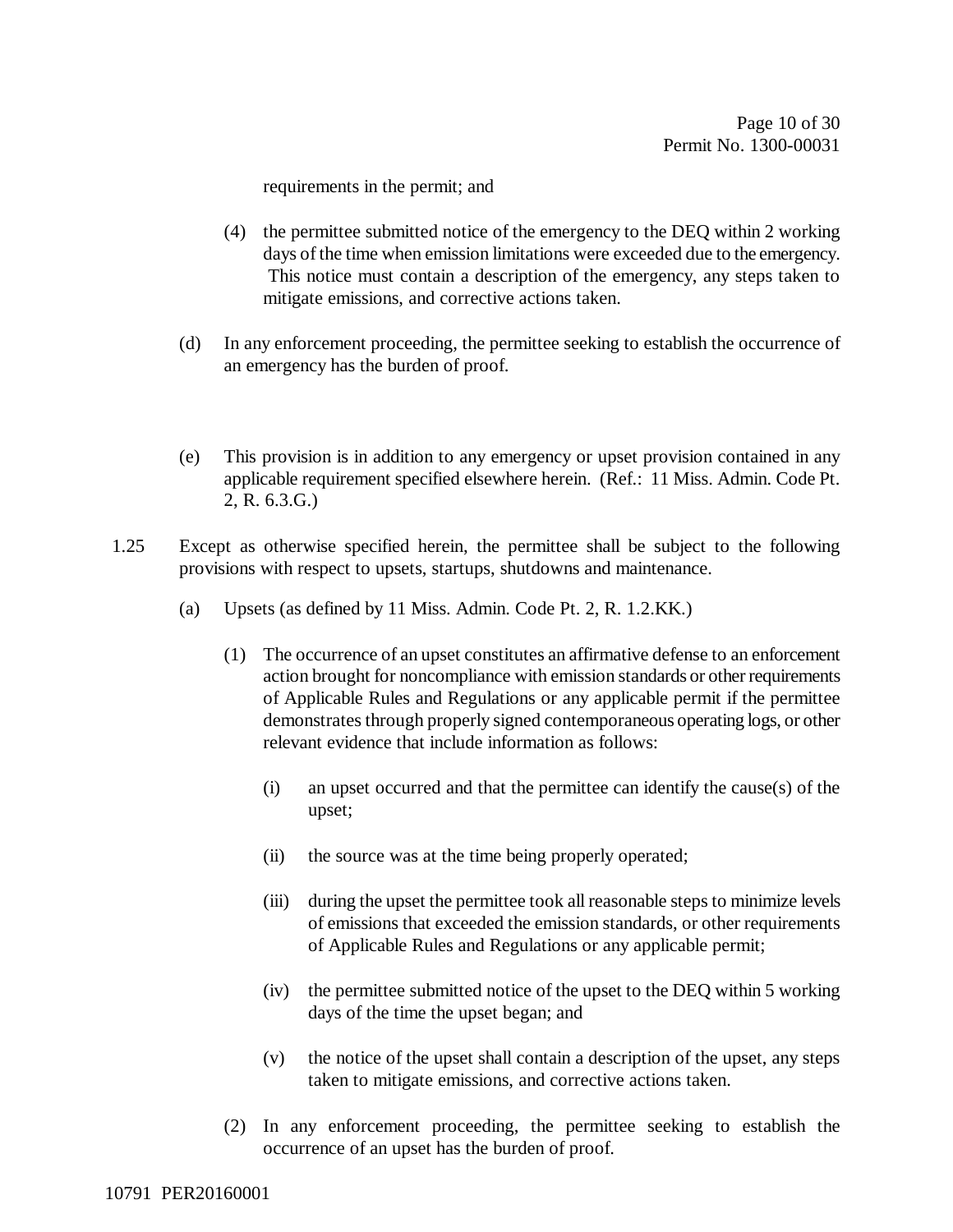requirements in the permit; and

- (4) the permittee submitted notice of the emergency to the DEQ within 2 working days of the time when emission limitations were exceeded due to the emergency. This notice must contain a description of the emergency, any steps taken to mitigate emissions, and corrective actions taken.
- (d) In any enforcement proceeding, the permittee seeking to establish the occurrence of an emergency has the burden of proof.
- (e) This provision is in addition to any emergency or upset provision contained in any applicable requirement specified elsewhere herein. (Ref.: 11 Miss. Admin. Code Pt. 2, R. 6.3.G.)
- 1.25 Except as otherwise specified herein, the permittee shall be subject to the following provisions with respect to upsets, startups, shutdowns and maintenance.
	- (a) Upsets (as defined by 11 Miss. Admin. Code Pt. 2, R. 1.2.KK.)
		- (1) The occurrence of an upset constitutes an affirmative defense to an enforcement action brought for noncompliance with emission standards or other requirements of Applicable Rules and Regulations or any applicable permit if the permittee demonstrates through properly signed contemporaneous operating logs, or other relevant evidence that include information as follows:
			- (i) an upset occurred and that the permittee can identify the cause(s) of the upset;
			- (ii) the source was at the time being properly operated;
			- (iii) during the upset the permittee took all reasonable steps to minimize levels of emissions that exceeded the emission standards, or other requirements of Applicable Rules and Regulations or any applicable permit;
			- (iv) the permittee submitted notice of the upset to the DEQ within 5 working days of the time the upset began; and
			- (v) the notice of the upset shall contain a description of the upset, any steps taken to mitigate emissions, and corrective actions taken.
		- (2) In any enforcement proceeding, the permittee seeking to establish the occurrence of an upset has the burden of proof.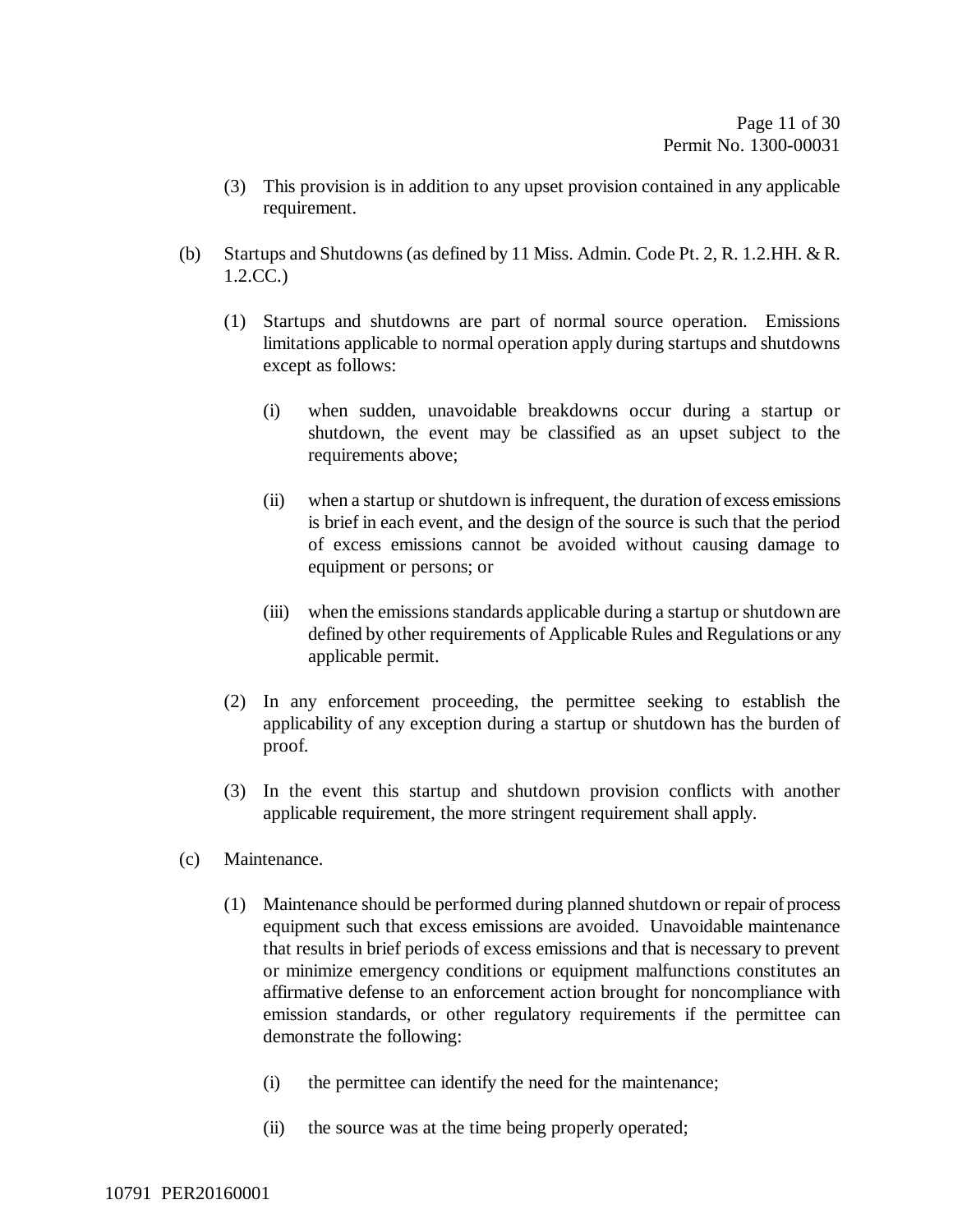- (3) This provision is in addition to any upset provision contained in any applicable requirement.
- (b) Startups and Shutdowns (as defined by 11 Miss. Admin. Code Pt. 2, R. 1.2.HH. & R. 1.2.CC.)
	- (1) Startups and shutdowns are part of normal source operation. Emissions limitations applicable to normal operation apply during startups and shutdowns except as follows:
		- (i) when sudden, unavoidable breakdowns occur during a startup or shutdown, the event may be classified as an upset subject to the requirements above;
		- (ii) when a startup or shutdown is infrequent, the duration of excess emissions is brief in each event, and the design of the source is such that the period of excess emissions cannot be avoided without causing damage to equipment or persons; or
		- (iii) when the emissions standards applicable during a startup or shutdown are defined by other requirements of Applicable Rules and Regulations or any applicable permit.
	- (2) In any enforcement proceeding, the permittee seeking to establish the applicability of any exception during a startup or shutdown has the burden of proof.
	- (3) In the event this startup and shutdown provision conflicts with another applicable requirement, the more stringent requirement shall apply.
- (c) Maintenance.
	- (1) Maintenance should be performed during planned shutdown or repair of process equipment such that excess emissions are avoided. Unavoidable maintenance that results in brief periods of excess emissions and that is necessary to prevent or minimize emergency conditions or equipment malfunctions constitutes an affirmative defense to an enforcement action brought for noncompliance with emission standards, or other regulatory requirements if the permittee can demonstrate the following:
		- (i) the permittee can identify the need for the maintenance;
		- (ii) the source was at the time being properly operated;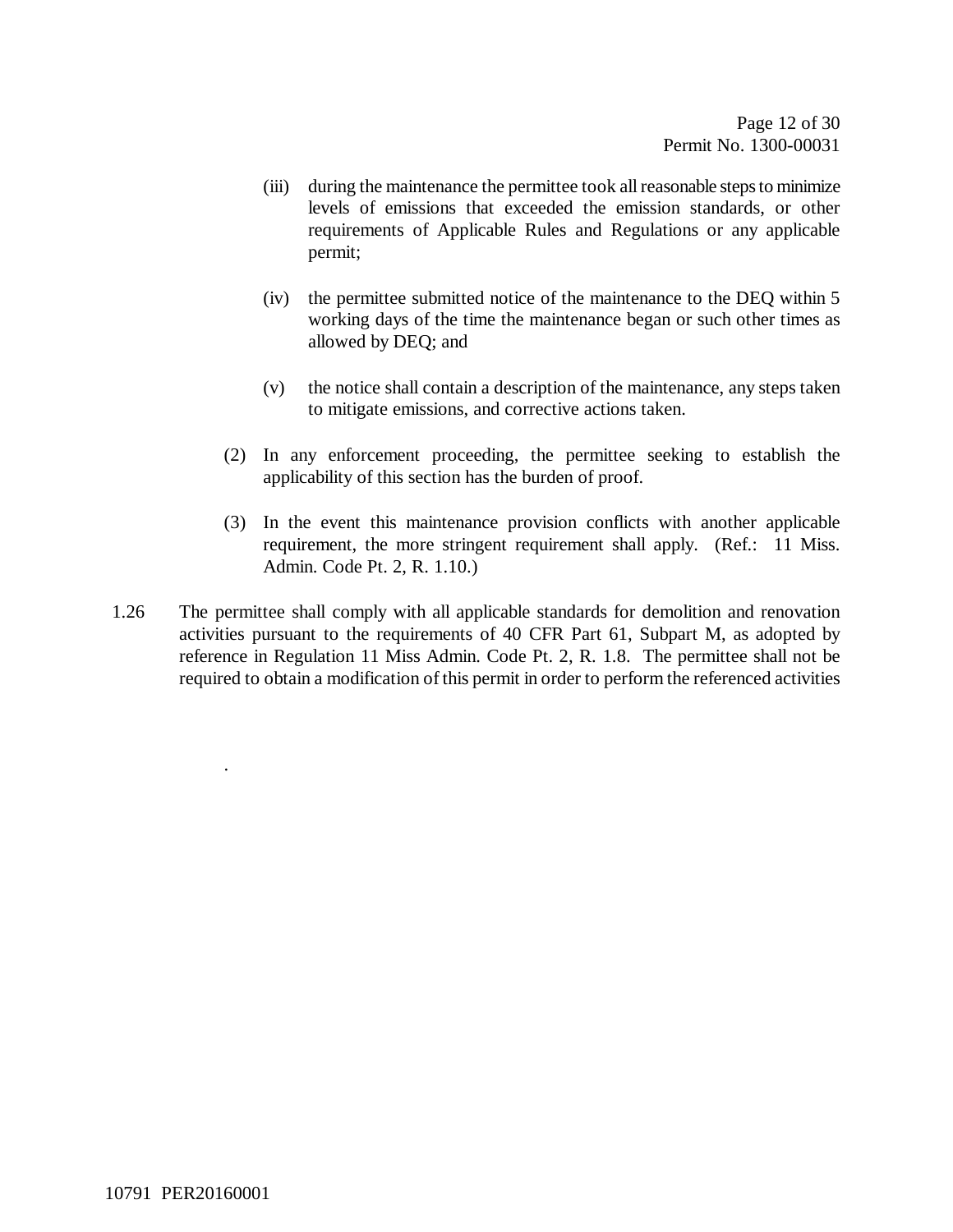- (iii) during the maintenance the permittee took all reasonable steps to minimize levels of emissions that exceeded the emission standards, or other requirements of Applicable Rules and Regulations or any applicable permit;
- (iv) the permittee submitted notice of the maintenance to the DEQ within 5 working days of the time the maintenance began or such other times as allowed by DEQ; and
- (v) the notice shall contain a description of the maintenance, any steps taken to mitigate emissions, and corrective actions taken.
- (2) In any enforcement proceeding, the permittee seeking to establish the applicability of this section has the burden of proof.
- (3) In the event this maintenance provision conflicts with another applicable requirement, the more stringent requirement shall apply. (Ref.: 11 Miss. Admin. Code Pt. 2, R. 1.10.)
- 1.26 The permittee shall comply with all applicable standards for demolition and renovation activities pursuant to the requirements of 40 CFR Part 61, Subpart M, as adopted by reference in Regulation 11 Miss Admin. Code Pt. 2, R. 1.8. The permittee shall not be required to obtain a modification of this permit in order to perform the referenced activities

.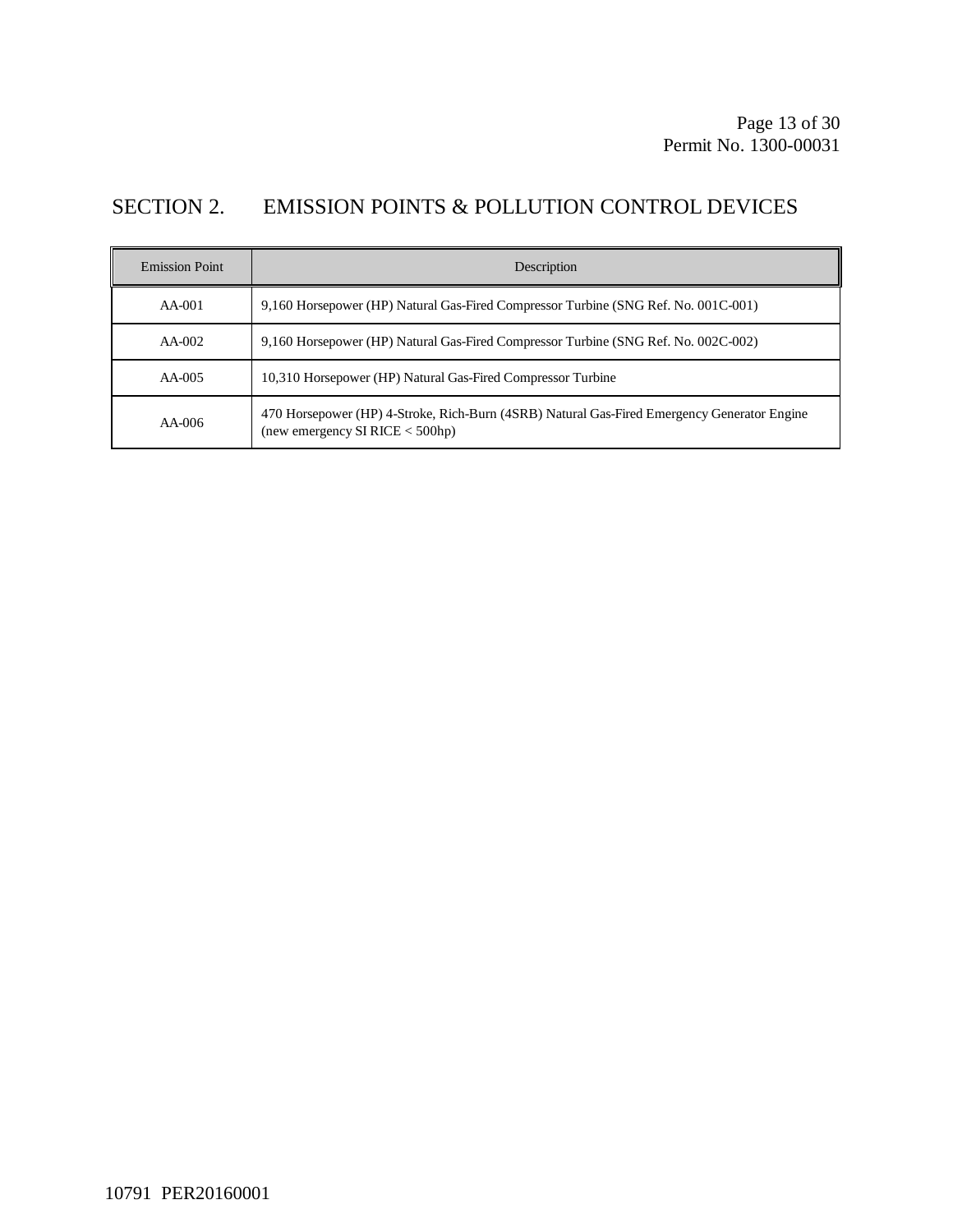## SECTION 2. EMISSION POINTS & POLLUTION CONTROL DEVICES

| <b>Emission Point</b> | Description                                                                                                                    |
|-----------------------|--------------------------------------------------------------------------------------------------------------------------------|
| $AA-001$              | 9,160 Horsepower (HP) Natural Gas-Fired Compressor Turbine (SNG Ref. No. 001C-001)                                             |
| $AA-002$              | 9,160 Horsepower (HP) Natural Gas-Fired Compressor Turbine (SNG Ref. No. 002C-002)                                             |
| $AA-005$              | 10,310 Horsepower (HP) Natural Gas-Fired Compressor Turbine                                                                    |
| $AA-006$              | 470 Horsepower (HP) 4-Stroke, Rich-Burn (4SRB) Natural Gas-Fired Emergency Generator Engine<br>(new emergency SI RICE < 500hp) |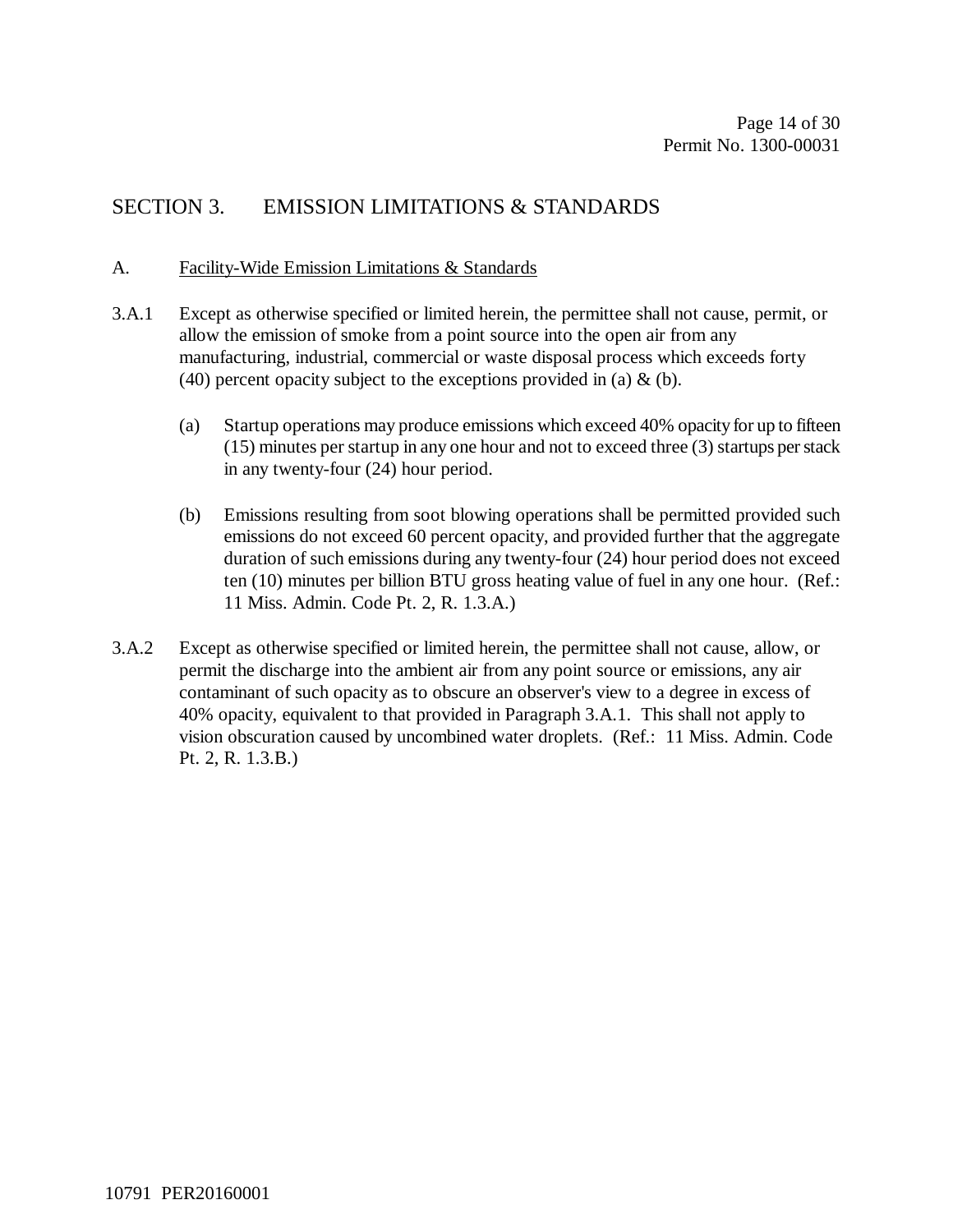## SECTION 3. EMISSION LIMITATIONS & STANDARDS

#### A. Facility-Wide Emission Limitations & Standards

- 3.A.1 Except as otherwise specified or limited herein, the permittee shall not cause, permit, or allow the emission of smoke from a point source into the open air from any manufacturing, industrial, commercial or waste disposal process which exceeds forty (40) percent opacity subject to the exceptions provided in (a)  $\&$  (b).
	- (a) Startup operations may produce emissions which exceed 40% opacity for up to fifteen (15) minutes per startup in any one hour and not to exceed three (3) startups per stack in any twenty-four (24) hour period.
	- (b) Emissions resulting from soot blowing operations shall be permitted provided such emissions do not exceed 60 percent opacity, and provided further that the aggregate duration of such emissions during any twenty-four (24) hour period does not exceed ten (10) minutes per billion BTU gross heating value of fuel in any one hour. (Ref.: 11 Miss. Admin. Code Pt. 2, R. 1.3.A.)
- 3.A.2 Except as otherwise specified or limited herein, the permittee shall not cause, allow, or permit the discharge into the ambient air from any point source or emissions, any air contaminant of such opacity as to obscure an observer's view to a degree in excess of 40% opacity, equivalent to that provided in Paragraph 3.A.1. This shall not apply to vision obscuration caused by uncombined water droplets. (Ref.: 11 Miss. Admin. Code Pt. 2, R. 1.3.B.)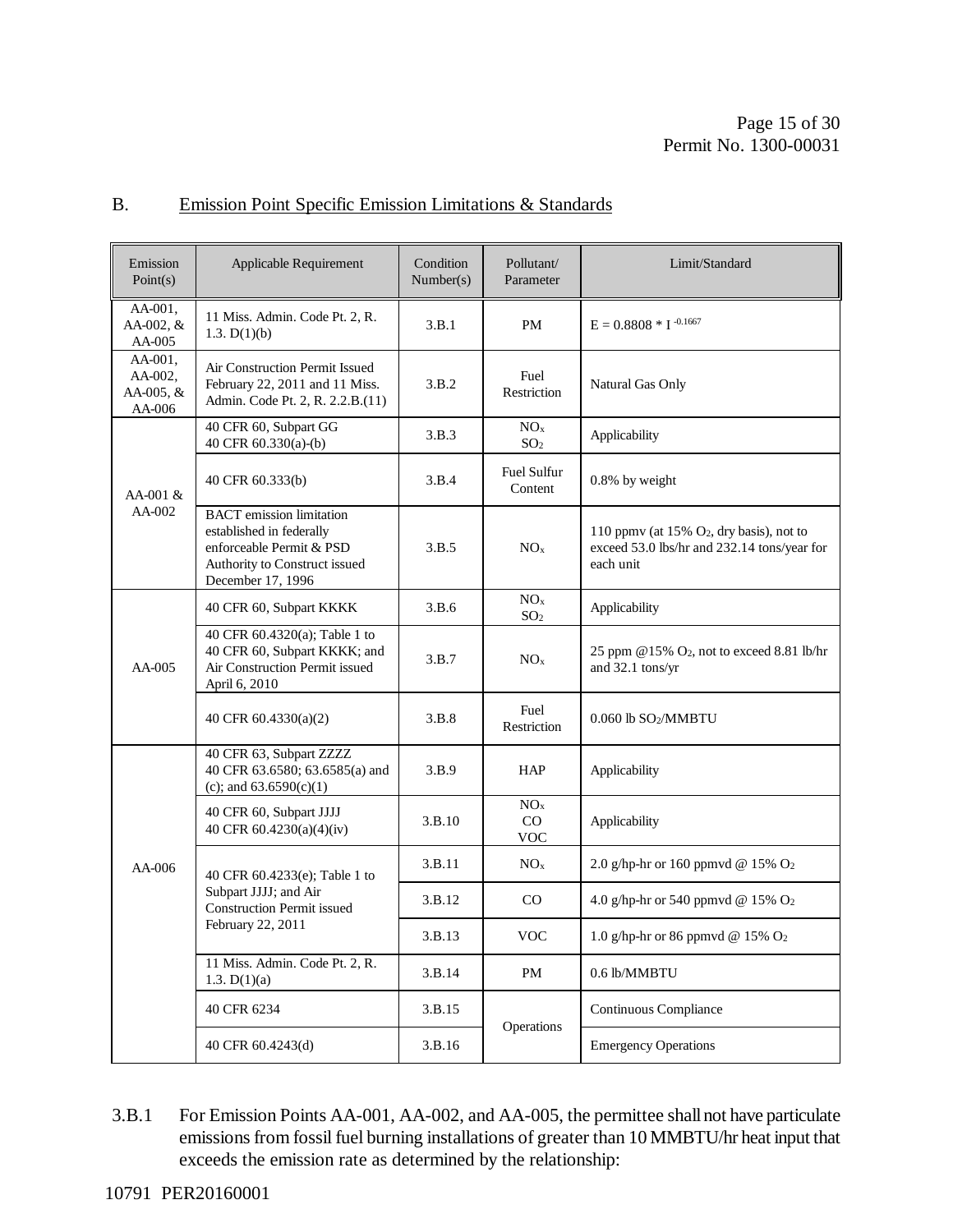#### B. Emission Point Specific Emission Limitations & Standards

| Emission<br>Point(s)                      | Applicable Requirement                                                                                                                        | Condition<br>Number(s) | Pollutant/<br>Parameter                   | Limit/Standard                                                                                          |
|-------------------------------------------|-----------------------------------------------------------------------------------------------------------------------------------------------|------------------------|-------------------------------------------|---------------------------------------------------------------------------------------------------------|
| AA-001,<br>AA-002, &<br>AA-005            | 11 Miss. Admin. Code Pt. 2, R.<br>1.3. $D(1)(b)$                                                                                              | 3.B.1                  | PM                                        | $E = 0.8808 * I^{-0.1667}$                                                                              |
| AA-001,<br>AA-002.<br>AA-005, &<br>AA-006 | Air Construction Permit Issued<br>February 22, 2011 and 11 Miss.<br>Admin. Code Pt. 2, R. 2.2.B.(11)                                          | 3.B.2                  | Fuel<br>Restriction                       | Natural Gas Only                                                                                        |
|                                           | 40 CFR 60, Subpart GG<br>40 CFR 60.330(a)-(b)                                                                                                 | 3.B.3                  | NO <sub>x</sub><br>SO <sub>2</sub>        | Applicability                                                                                           |
| AA-001 &<br>AA-002                        | 40 CFR 60.333(b)                                                                                                                              | 3.B.4                  | Fuel Sulfur<br>Content                    | 0.8% by weight                                                                                          |
|                                           | <b>BACT</b> emission limitation<br>established in federally<br>enforceable Permit & PSD<br>Authority to Construct issued<br>December 17, 1996 | 3.B.5                  | NO <sub>x</sub>                           | 110 ppmv (at 15% $O_2$ , dry basis), not to<br>exceed 53.0 lbs/hr and 232.14 tons/year for<br>each unit |
|                                           | 40 CFR 60, Subpart KKKK                                                                                                                       | 3.B.6                  | NO <sub>x</sub><br>SO <sub>2</sub>        | Applicability                                                                                           |
| $AA-005$                                  | 40 CFR 60.4320(a); Table 1 to<br>40 CFR 60, Subpart KKKK; and<br>Air Construction Permit issued<br>April 6, 2010                              | 3.B.7                  | NO <sub>x</sub>                           | 25 ppm @15% O <sub>2</sub> , not to exceed 8.81 lb/hr<br>and 32.1 tons/yr                               |
|                                           | 40 CFR 60.4330(a)(2)                                                                                                                          | 3.B.8                  | Fuel<br>Restriction                       | $0.060$ lb SO <sub>2</sub> /MMBTU                                                                       |
| AA-006                                    | 40 CFR 63, Subpart ZZZZ<br>40 CFR 63.6580; 63.6585(a) and<br>(c); and $63.6590(c)(1)$                                                         | 3.B.9                  | HAP                                       | Applicability                                                                                           |
|                                           | 40 CFR 60, Subpart JJJJ<br>40 CFR 60.4230(a)(4)(iv)                                                                                           | 3.B.10                 | NO <sub>x</sub><br>$\rm CO$<br><b>VOC</b> | Applicability                                                                                           |
|                                           | 40 CFR 60.4233(e); Table 1 to<br>Subpart JJJJ; and Air<br><b>Construction Permit issued</b><br>February 22, 2011                              | 3.B.11                 | NO <sub>x</sub>                           | 2.0 g/hp-hr or 160 ppmvd @ 15% $O2$                                                                     |
|                                           |                                                                                                                                               | 3.B.12                 | CO                                        | 4.0 g/hp-hr or 540 ppmvd @ 15% O <sub>2</sub>                                                           |
|                                           |                                                                                                                                               | 3.B.13                 | <b>VOC</b>                                | $1.0$ g/hp-hr or 86 ppmvd @ $15\%$ $\mathrm{O}_2$                                                       |
|                                           | 11 Miss. Admin. Code Pt. 2, R.<br>1.3. D(1)(a)                                                                                                | 3.B.14                 | PM                                        | 0.6 lb/MMBTU                                                                                            |
|                                           | 40 CFR 6234                                                                                                                                   | 3.B.15                 |                                           | Continuous Compliance                                                                                   |
|                                           | 40 CFR 60.4243(d)                                                                                                                             | 3.B.16                 | Operations                                | <b>Emergency Operations</b>                                                                             |

3.B.1 For Emission Points AA-001, AA-002, and AA-005, the permittee shall not have particulate emissions from fossil fuel burning installations of greater than 10 MMBTU/hr heat input that exceeds the emission rate as determined by the relationship: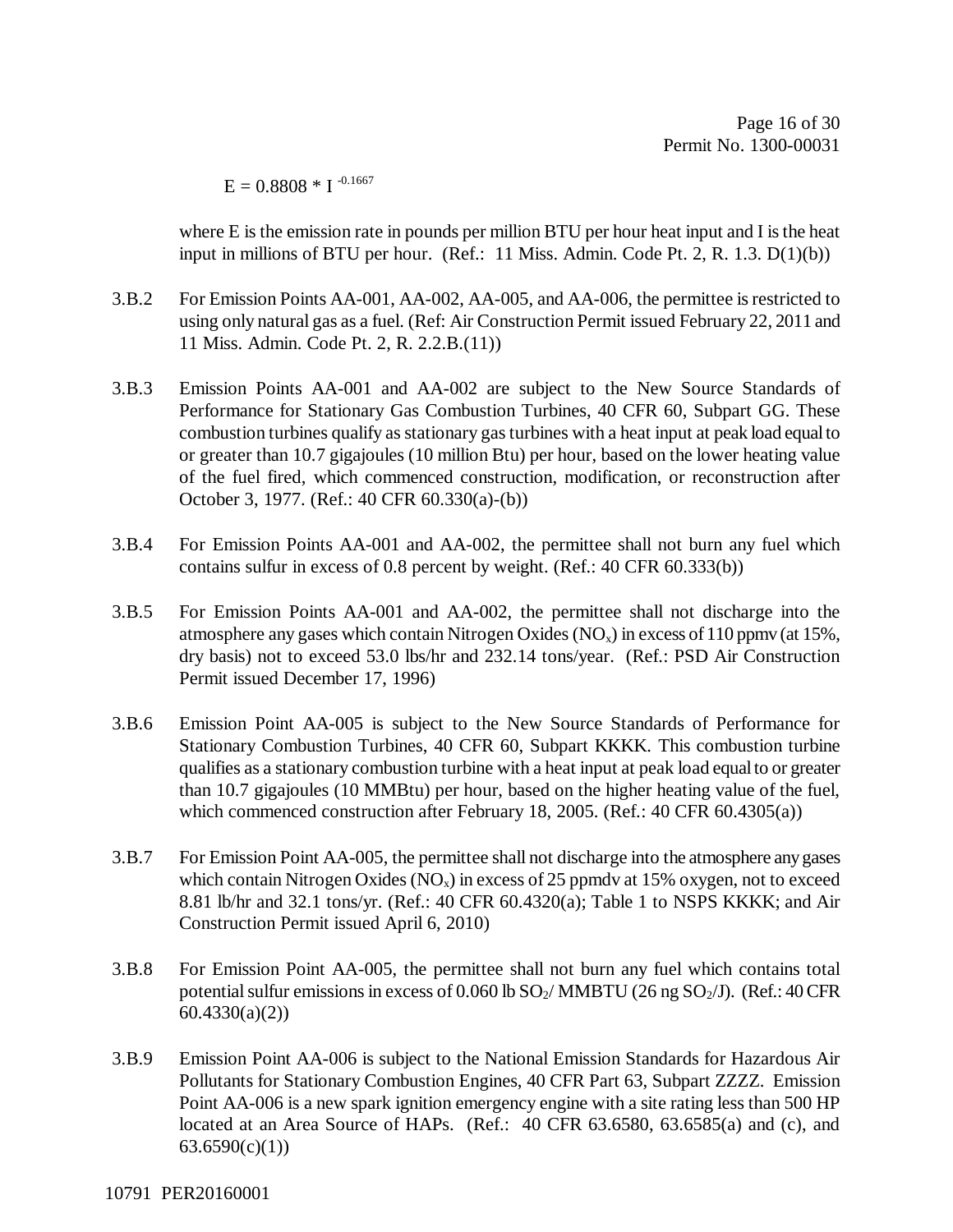Page 16 of 30 Permit No. 1300-00031

 $E = 0.8808 * I^{-0.1667}$ 

where E is the emission rate in pounds per million BTU per hour heat input and I is the heat input in millions of BTU per hour. (Ref.: 11 Miss. Admin. Code Pt. 2, R. 1.3. D(1)(b))

- 3.B.2 For Emission Points AA-001, AA-002, AA-005, and AA-006, the permittee is restricted to using only natural gas as a fuel. (Ref: Air Construction Permit issued February 22, 2011 and 11 Miss. Admin. Code Pt. 2, R. 2.2.B.(11))
- 3.B.3 Emission Points AA-001 and AA-002 are subject to the New Source Standards of Performance for Stationary Gas Combustion Turbines, 40 CFR 60, Subpart GG. These combustion turbines qualify as stationary gas turbines with a heat input at peak load equal to or greater than 10.7 gigajoules (10 million Btu) per hour, based on the lower heating value of the fuel fired, which commenced construction, modification, or reconstruction after October 3, 1977. (Ref.: 40 CFR 60.330(a)-(b))
- 3.B.4 For Emission Points AA-001 and AA-002, the permittee shall not burn any fuel which contains sulfur in excess of 0.8 percent by weight. (Ref.: 40 CFR 60.333(b))
- 3.B.5 For Emission Points AA-001 and AA-002, the permittee shall not discharge into the atmosphere any gases which contain Nitrogen Oxides  $(NO<sub>x</sub>)$  in excess of 110 ppmv (at 15%, dry basis) not to exceed 53.0 lbs/hr and 232.14 tons/year. (Ref.: PSD Air Construction Permit issued December 17, 1996)
- 3.B.6 Emission Point AA-005 is subject to the New Source Standards of Performance for Stationary Combustion Turbines, 40 CFR 60, Subpart KKKK. This combustion turbine qualifies as a stationary combustion turbine with a heat input at peak load equal to or greater than 10.7 gigajoules (10 MMBtu) per hour, based on the higher heating value of the fuel, which commenced construction after February 18, 2005. (Ref.: 40 CFR 60.4305(a))
- 3.B.7 For Emission Point AA-005, the permittee shall not discharge into the atmosphere any gases which contain Nitrogen Oxides  $(NO_x)$  in excess of 25 ppmdv at 15% oxygen, not to exceed 8.81 lb/hr and 32.1 tons/yr. (Ref.: 40 CFR 60.4320(a); Table 1 to NSPS KKKK; and Air Construction Permit issued April 6, 2010)
- 3.B.8 For Emission Point AA-005, the permittee shall not burn any fuel which contains total potential sulfur emissions in excess of 0.060 lb  $SO_2/$  MMBTU (26 ng  $SO_2/J$ ). (Ref.: 40 CFR 60.4330(a)(2))
- 3.B.9 Emission Point AA-006 is subject to the National Emission Standards for Hazardous Air Pollutants for Stationary Combustion Engines, 40 CFR Part 63, Subpart ZZZZ. Emission Point AA-006 is a new spark ignition emergency engine with a site rating less than 500 HP located at an Area Source of HAPs. (Ref.: 40 CFR 63.6580, 63.6585(a) and (c), and  $63.6590(c)(1)$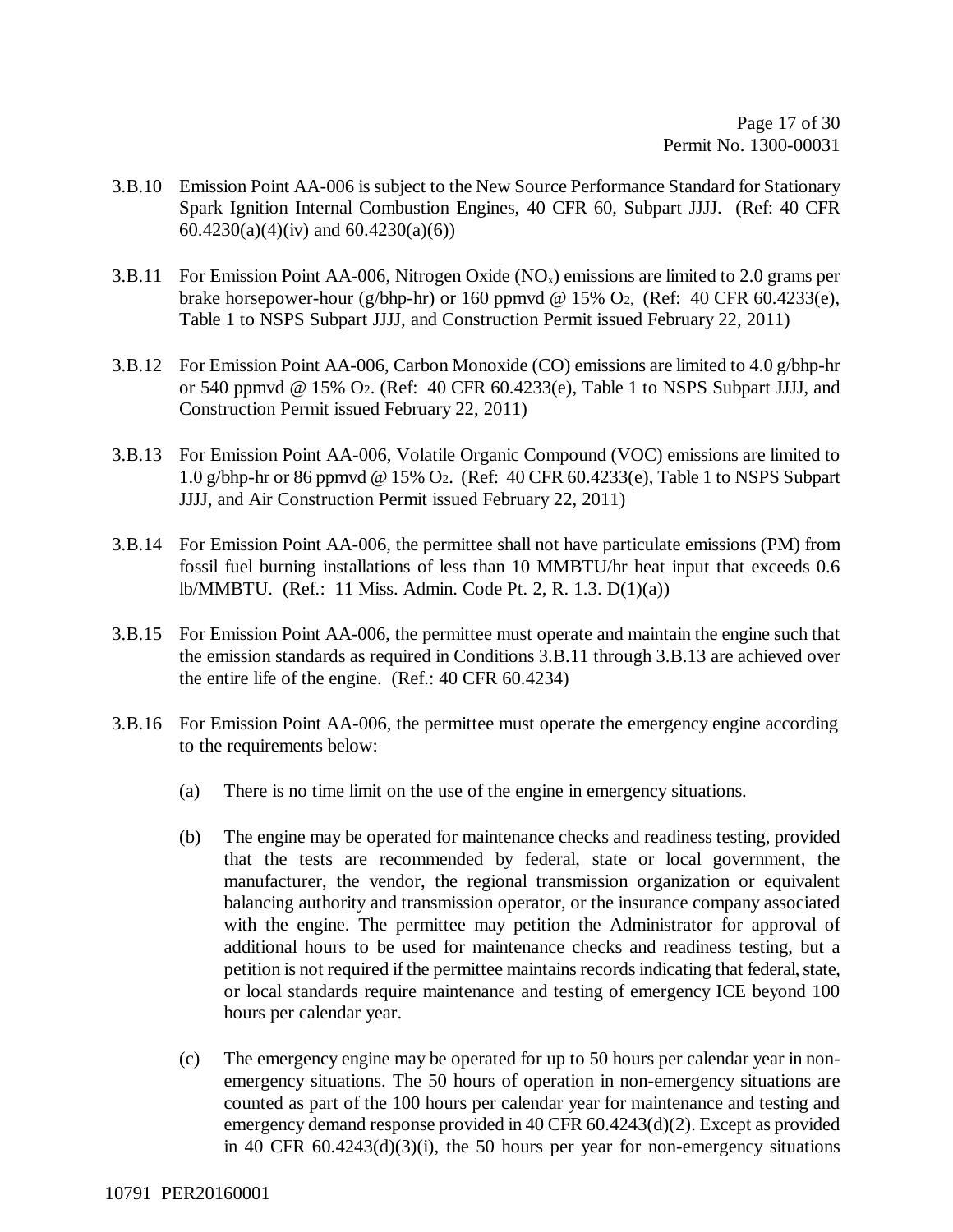- 3.B.10 Emission Point AA-006 is subject to the New Source Performance Standard for Stationary Spark Ignition Internal Combustion Engines, 40 CFR 60, Subpart JJJJ. (Ref: 40 CFR 60.4230(a)(4)(iv) and 60.4230(a)(6))
- 3.B.11 For Emission Point AA-006, Nitrogen Oxide  $(NO<sub>x</sub>)$  emissions are limited to 2.0 grams per brake horsepower-hour (g/bhp-hr) or 160 ppmvd @ 15% O<sub>2</sub>, (Ref: 40 CFR 60.4233(e), Table 1 to NSPS Subpart JJJJ, and Construction Permit issued February 22, 2011)
- 3.B.12 For Emission Point AA-006, Carbon Monoxide (CO) emissions are limited to 4.0 g/bhp-hr or 540 ppmvd @ 15% O2. (Ref: 40 CFR 60.4233(e), Table 1 to NSPS Subpart JJJJ, and Construction Permit issued February 22, 2011)
- 3.B.13 For Emission Point AA-006, Volatile Organic Compound (VOC) emissions are limited to 1.0 g/bhp-hr or 86 ppmvd @ 15% O2. (Ref: 40 CFR 60.4233(e), Table 1 to NSPS Subpart JJJJ, and Air Construction Permit issued February 22, 2011)
- 3.B.14 For Emission Point AA-006, the permittee shall not have particulate emissions (PM) from fossil fuel burning installations of less than 10 MMBTU/hr heat input that exceeds 0.6 lb/MMBTU. (Ref.: 11 Miss. Admin. Code Pt. 2, R. 1.3. D(1)(a))
- 3.B.15 For Emission Point AA-006, the permittee must operate and maintain the engine such that the emission standards as required in Conditions 3.B.11 through 3.B.13 are achieved over the entire life of the engine. (Ref.: 40 CFR 60.4234)
- 3.B.16 For Emission Point AA-006, the permittee must operate the emergency engine according to the requirements below:
	- (a) There is no time limit on the use of the engine in emergency situations.
	- (b) The engine may be operated for maintenance checks and readiness testing, provided that the tests are recommended by federal, state or local government, the manufacturer, the vendor, the regional transmission organization or equivalent balancing authority and transmission operator, or the insurance company associated with the engine. The permittee may petition the Administrator for approval of additional hours to be used for maintenance checks and readiness testing, but a petition is not required if the permittee maintains records indicating that federal, state, or local standards require maintenance and testing of emergency ICE beyond 100 hours per calendar year.
	- (c) The emergency engine may be operated for up to 50 hours per calendar year in nonemergency situations. The 50 hours of operation in non-emergency situations are counted as part of the 100 hours per calendar year for maintenance and testing and emergency demand response provided in 40 CFR 60.4243(d)(2). Except as provided in 40 CFR 60.4243(d)(3)(i), the 50 hours per year for non-emergency situations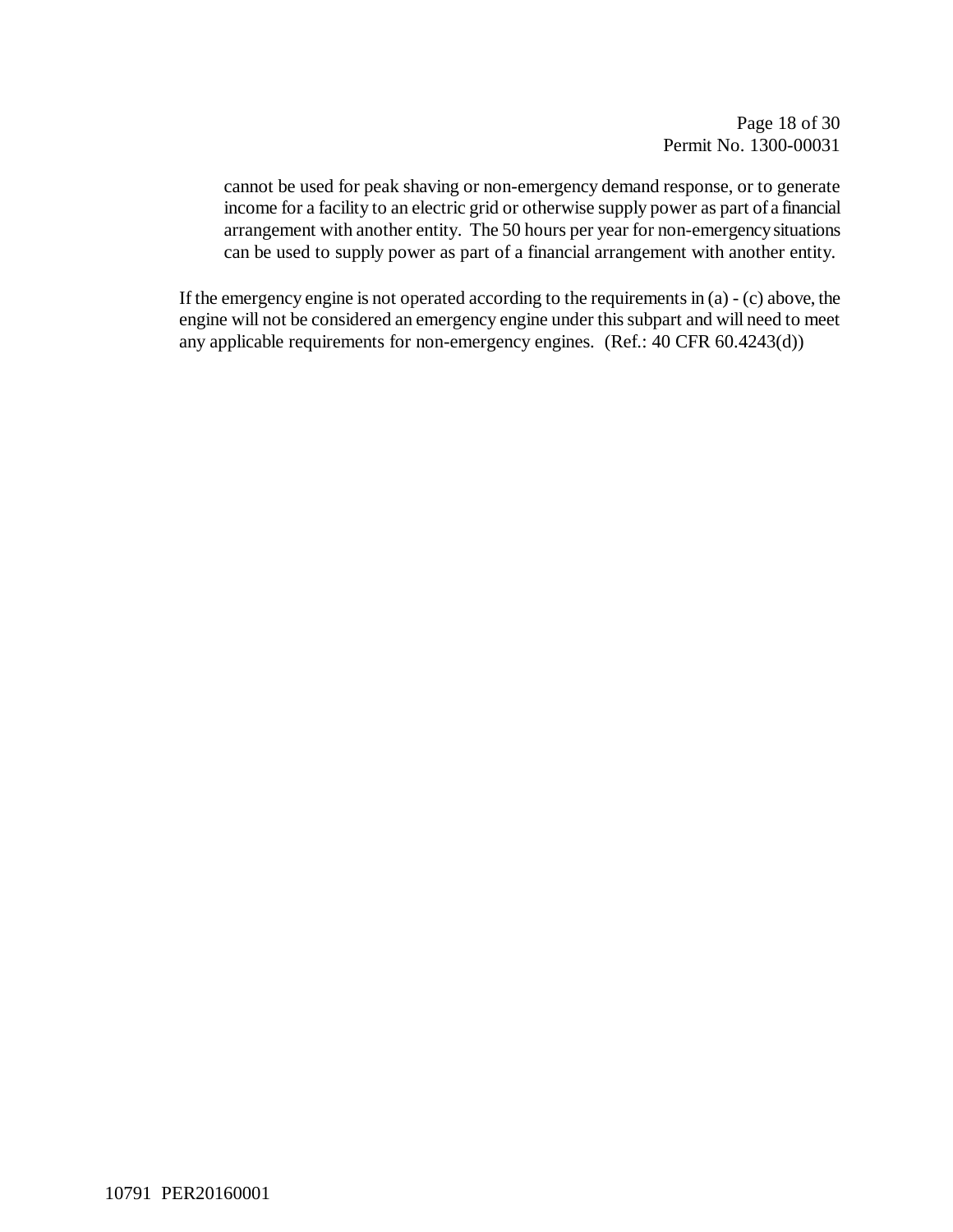cannot be used for peak shaving or non-emergency demand response, or to generate income for a facility to an electric grid or otherwise supply power as part of a financial arrangement with another entity. The 50 hours per year for non-emergency situations can be used to supply power as part of a financial arrangement with another entity.

If the emergency engine is not operated according to the requirements in (a) - (c) above, the engine will not be considered an emergency engine under this subpart and will need to meet any applicable requirements for non-emergency engines. (Ref.: 40 CFR 60.4243(d))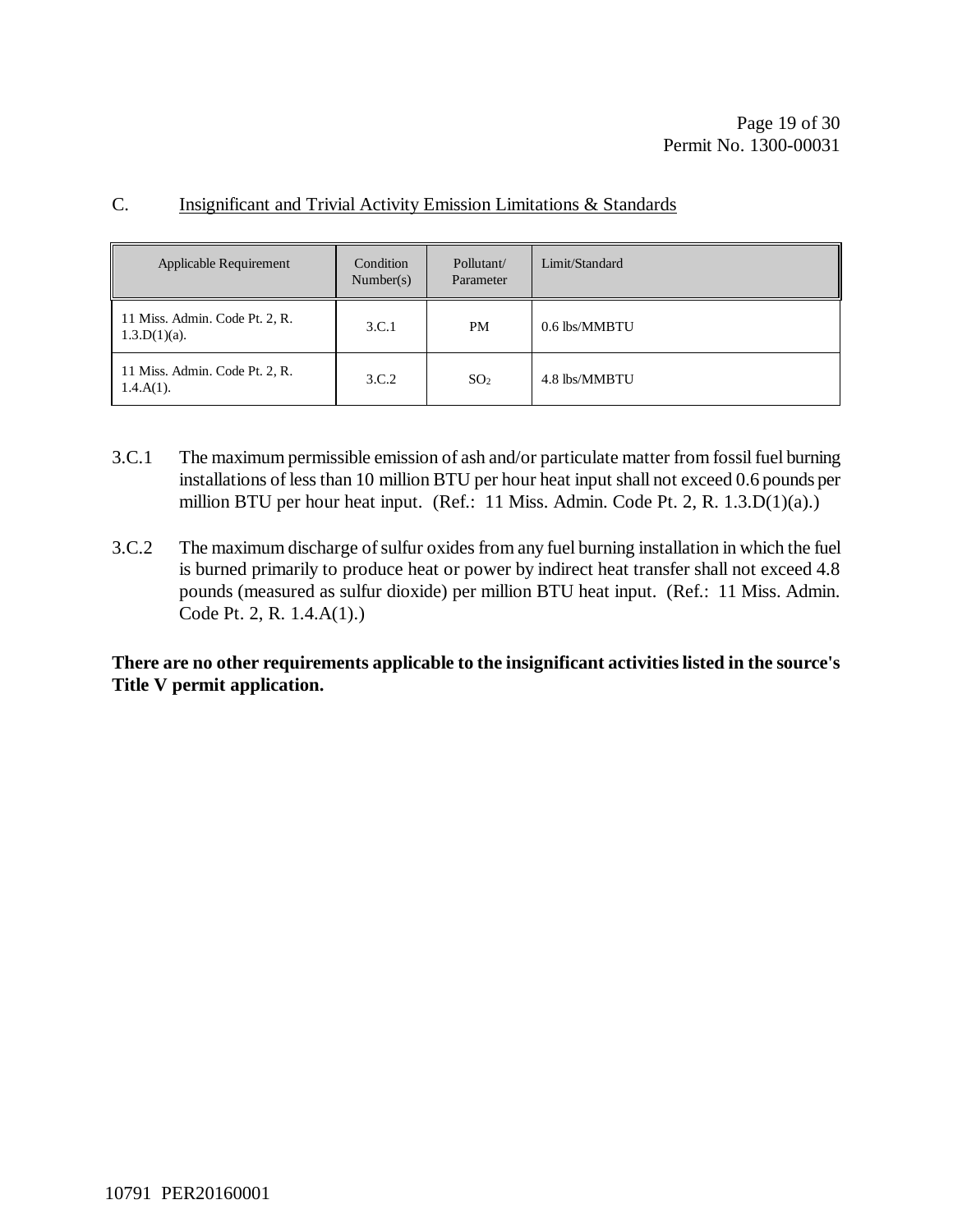| Applicable Requirement                            | Condition<br>Number(s) | Pollutant/<br>Parameter | Limit/Standard |
|---------------------------------------------------|------------------------|-------------------------|----------------|
| 11 Miss. Admin. Code Pt. 2, R.<br>$1.3.D(1)(a)$ . | 3.C.1                  | PM.                     | 0.6 lbs/MMBTU  |
| 11 Miss. Admin. Code Pt. 2, R.<br>$1.4.A(1)$ .    | 3.C.2                  | SO <sub>2</sub>         | 4.8 lbs/MMBTU  |

#### C. Insignificant and Trivial Activity Emission Limitations & Standards

- 3.C.1 The maximum permissible emission of ash and/or particulate matter from fossil fuel burning installations of less than 10 million BTU per hour heat input shall not exceed 0.6 pounds per million BTU per hour heat input. (Ref.: 11 Miss. Admin. Code Pt. 2, R. 1.3.D(1)(a).)
- 3.C.2 The maximum discharge of sulfur oxides from any fuel burning installation in which the fuel is burned primarily to produce heat or power by indirect heat transfer shall not exceed 4.8 pounds (measured as sulfur dioxide) per million BTU heat input. (Ref.: 11 Miss. Admin. Code Pt. 2, R. 1.4.A(1).)

**There are no other requirements applicable to the insignificant activities listed in the source's Title V permit application.**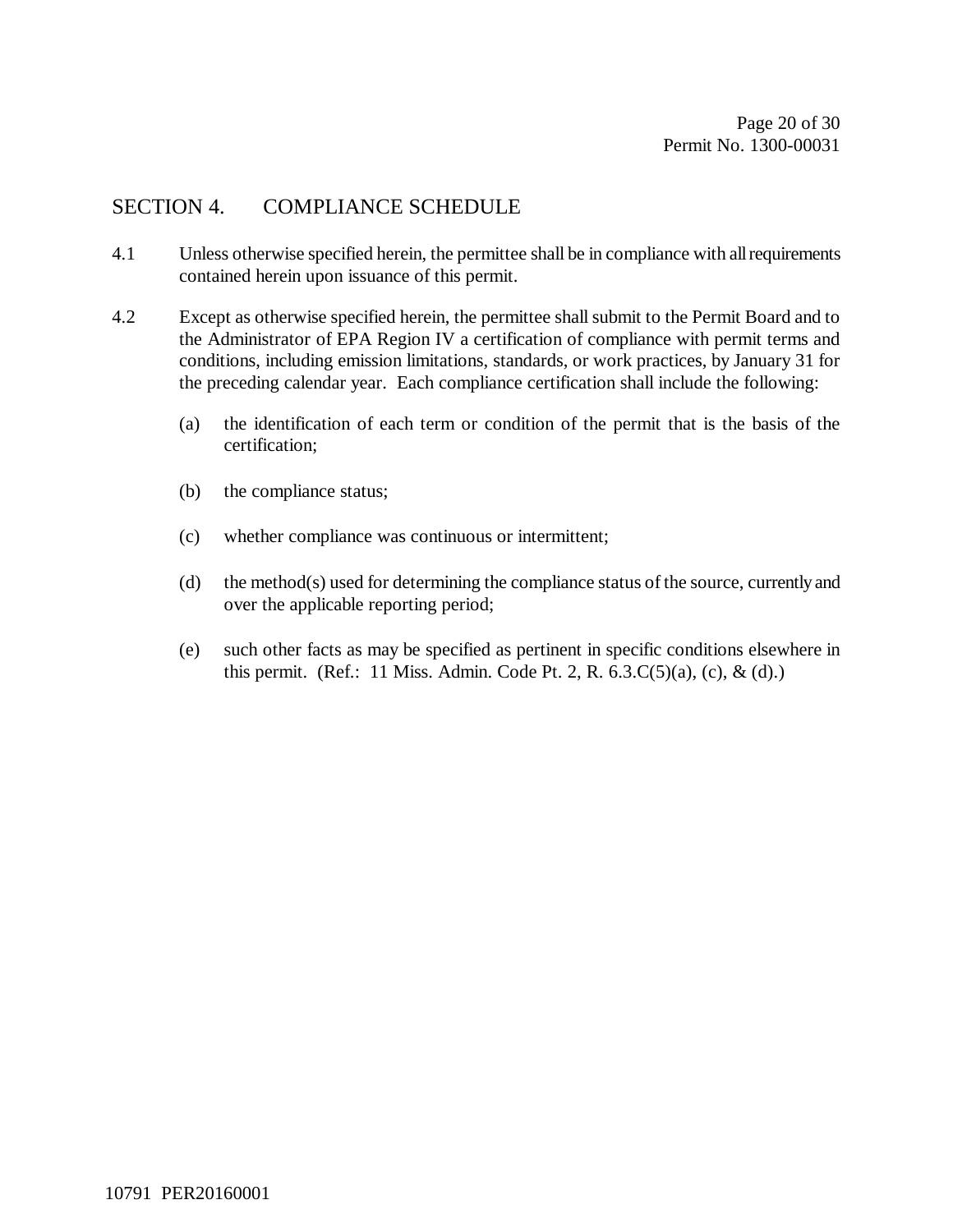## SECTION 4. COMPLIANCE SCHEDULE

- 4.1 Unless otherwise specified herein, the permittee shall be in compliance with all requirements contained herein upon issuance of this permit.
- 4.2 Except as otherwise specified herein, the permittee shall submit to the Permit Board and to the Administrator of EPA Region IV a certification of compliance with permit terms and conditions, including emission limitations, standards, or work practices, by January 31 for the preceding calendar year. Each compliance certification shall include the following:
	- (a) the identification of each term or condition of the permit that is the basis of the certification;
	- (b) the compliance status;
	- (c) whether compliance was continuous or intermittent;
	- (d) the method(s) used for determining the compliance status of the source, currently and over the applicable reporting period;
	- (e) such other facts as may be specified as pertinent in specific conditions elsewhere in this permit. (Ref.: 11 Miss. Admin. Code Pt. 2, R.  $(6.3.C(5)(a), (c), \& (d).)$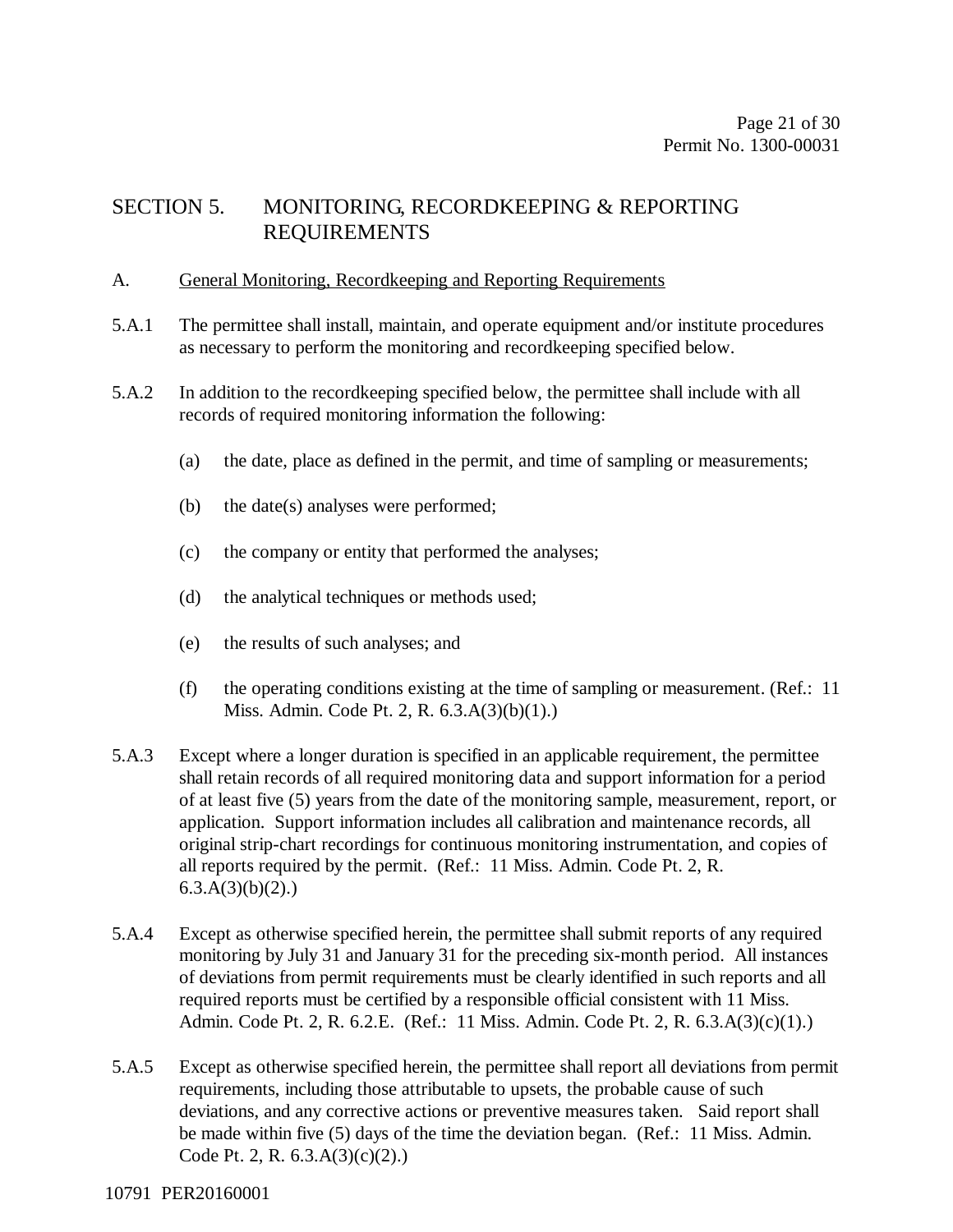## SECTION 5. MONITORING, RECORDKEEPING & REPORTING REQUIREMENTS

#### A. General Monitoring, Recordkeeping and Reporting Requirements

- 5.A.1 The permittee shall install, maintain, and operate equipment and/or institute procedures as necessary to perform the monitoring and recordkeeping specified below.
- 5.A.2 In addition to the recordkeeping specified below, the permittee shall include with all records of required monitoring information the following:
	- (a) the date, place as defined in the permit, and time of sampling or measurements;
	- (b) the date(s) analyses were performed;
	- (c) the company or entity that performed the analyses;
	- (d) the analytical techniques or methods used;
	- (e) the results of such analyses; and
	- (f) the operating conditions existing at the time of sampling or measurement. (Ref.: 11 Miss. Admin. Code Pt. 2, R. 6.3.A(3)(b)(1).)
- 5.A.3 Except where a longer duration is specified in an applicable requirement, the permittee shall retain records of all required monitoring data and support information for a period of at least five (5) years from the date of the monitoring sample, measurement, report, or application. Support information includes all calibration and maintenance records, all original strip-chart recordings for continuous monitoring instrumentation, and copies of all reports required by the permit. (Ref.: 11 Miss. Admin. Code Pt. 2, R.  $6.3.A(3)(b)(2)$ .
- 5.A.4 Except as otherwise specified herein, the permittee shall submit reports of any required monitoring by July 31 and January 31 for the preceding six-month period. All instances of deviations from permit requirements must be clearly identified in such reports and all required reports must be certified by a responsible official consistent with 11 Miss. Admin. Code Pt. 2, R. 6.2.E. (Ref.: 11 Miss. Admin. Code Pt. 2, R. 6.3.A(3)(c)(1).)
- 5.A.5 Except as otherwise specified herein, the permittee shall report all deviations from permit requirements, including those attributable to upsets, the probable cause of such deviations, and any corrective actions or preventive measures taken. Said report shall be made within five (5) days of the time the deviation began. (Ref.: 11 Miss. Admin. Code Pt. 2, R. 6.3.A(3)(c)(2).)

#### 10791 PER20160001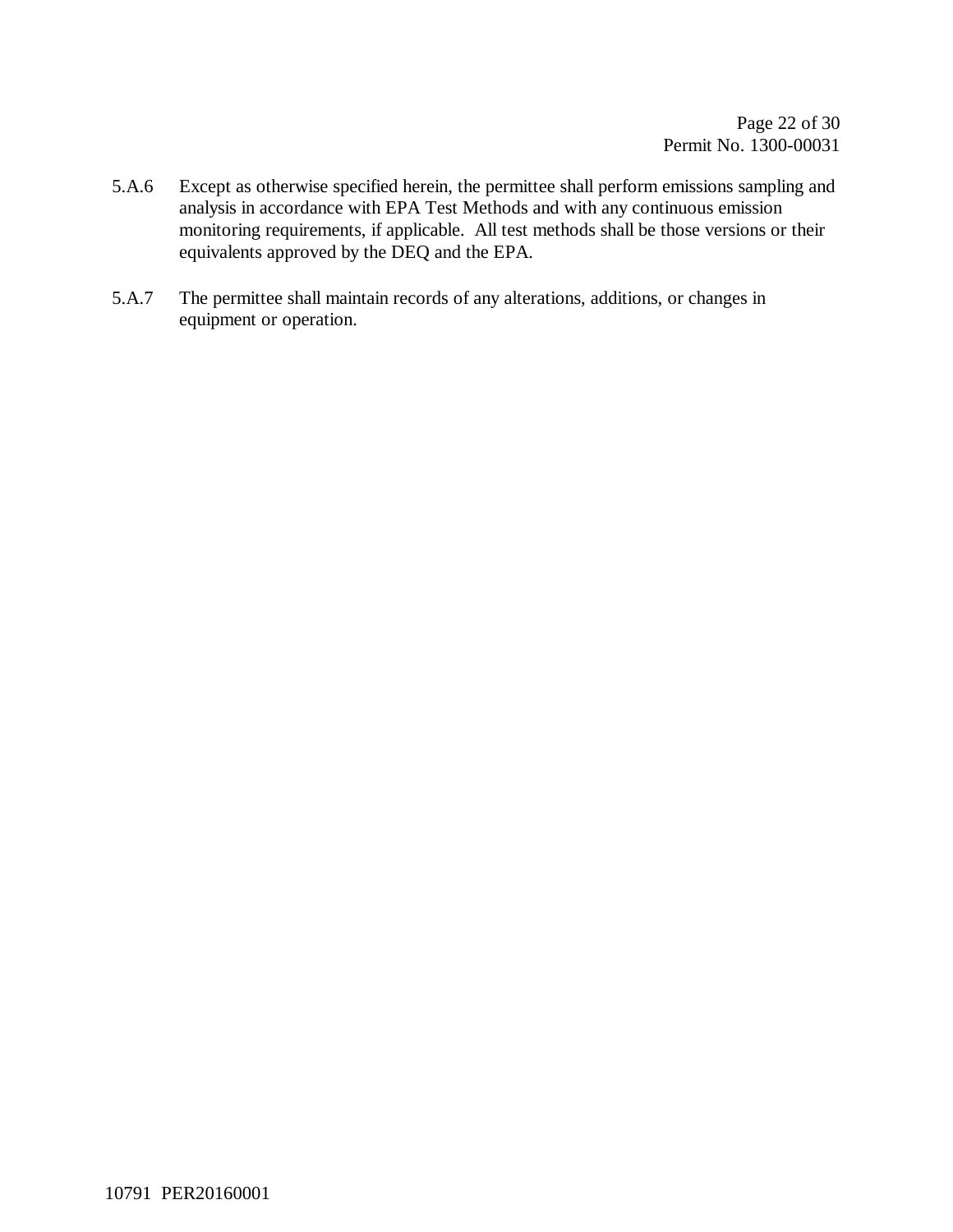- 5.A.6 Except as otherwise specified herein, the permittee shall perform emissions sampling and analysis in accordance with EPA Test Methods and with any continuous emission monitoring requirements, if applicable. All test methods shall be those versions or their equivalents approved by the DEQ and the EPA.
- 5.A.7 The permittee shall maintain records of any alterations, additions, or changes in equipment or operation.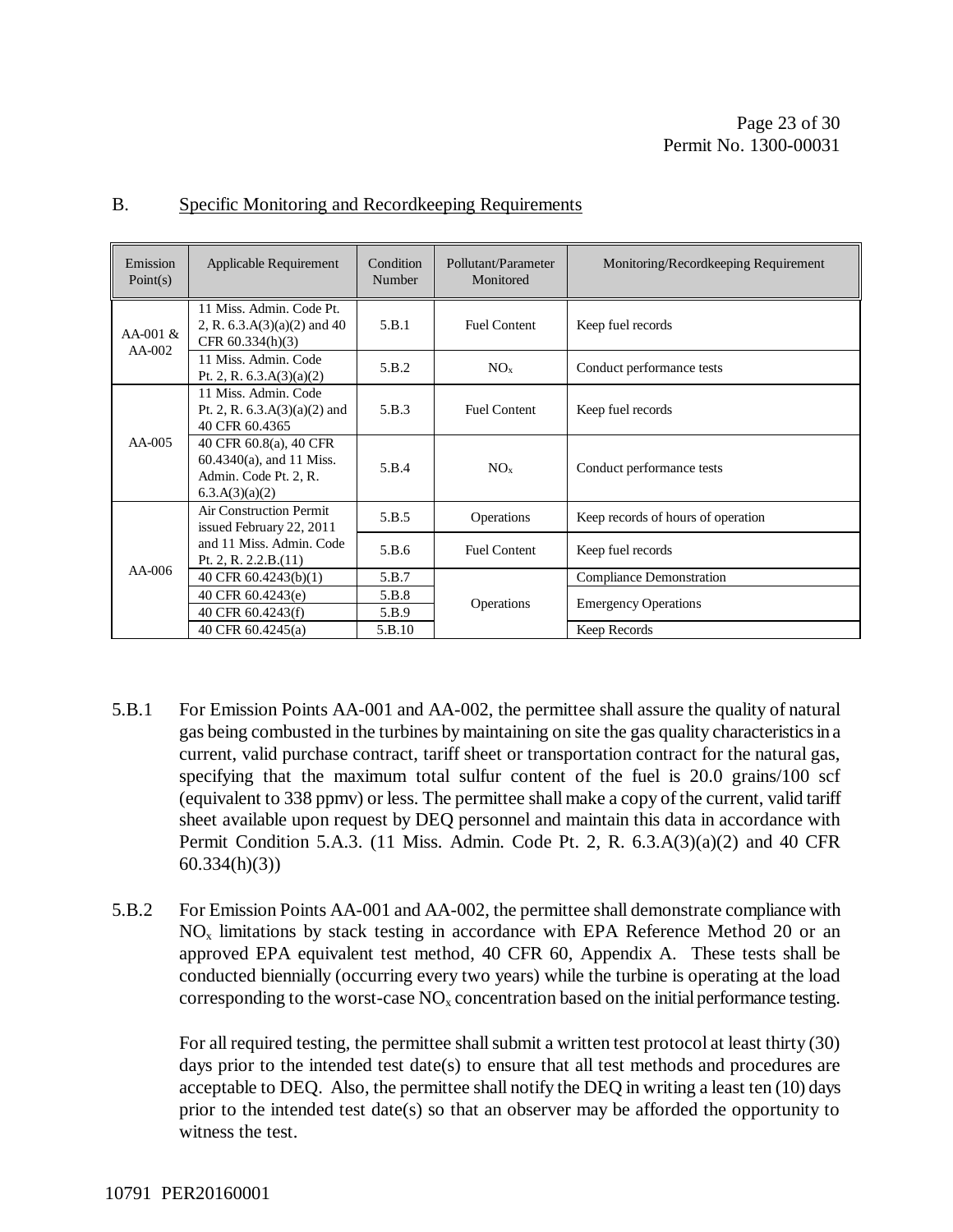| Emission<br>Point $(s)$ | Applicable Requirement                                                                           | Condition<br>Number | Pollutant/Parameter<br>Monitored | Monitoring/Recordkeeping Requirement |
|-------------------------|--------------------------------------------------------------------------------------------------|---------------------|----------------------------------|--------------------------------------|
| $AA-001 \&$<br>$AA-002$ | 11 Miss. Admin. Code Pt.<br>2, R. $6.3.A(3)(a)(2)$ and 40<br>CFR $60.334(h)(3)$                  | 5.B.1               | <b>Fuel Content</b>              | Keep fuel records                    |
|                         | 11 Miss. Admin. Code<br>Pt. 2, R. $6.3.A(3)(a)(2)$                                               | 5.B.2               | NO <sub>x</sub>                  | Conduct performance tests            |
| $AA-005$                | 11 Miss. Admin. Code<br>Pt. 2, R. $6.3.A(3)(a)(2)$ and<br>40 CFR 60.4365                         | 5.B.3               | <b>Fuel Content</b>              | Keep fuel records                    |
|                         | 40 CFR 60.8(a), 40 CFR<br>$60.4340(a)$ , and 11 Miss.<br>Admin. Code Pt. 2, R.<br>6.3.A(3)(a)(2) | 5.B.4               | NO <sub>x</sub>                  | Conduct performance tests            |
|                         | Air Construction Permit<br>issued February 22, 2011                                              | 5.B.5               | Operations                       | Keep records of hours of operation   |
| $AA-006$                | and 11 Miss. Admin. Code<br>Pt. 2, R. $2.2.B.(11)$                                               | 5.B.6               | <b>Fuel Content</b>              | Keep fuel records                    |
|                         | 40 CFR 60.4243(b)(1)                                                                             | 5.B.7               |                                  | <b>Compliance Demonstration</b>      |
|                         | 40 CFR 60.4243(e)                                                                                | 5.B.8               | <b>Operations</b>                | <b>Emergency Operations</b>          |
|                         | 40 CFR 60.4243(f)                                                                                | 5.B.9               |                                  |                                      |
|                         | 40 CFR 60.4245(a)                                                                                | 5.B.10              |                                  | Keep Records                         |

#### B. Specific Monitoring and Recordkeeping Requirements

- 5.B.1 For Emission Points AA-001 and AA-002, the permittee shall assure the quality of natural gas being combusted in the turbines by maintaining on site the gas quality characteristics in a current, valid purchase contract, tariff sheet or transportation contract for the natural gas, specifying that the maximum total sulfur content of the fuel is 20.0 grains/100 scf (equivalent to 338 ppmv) or less. The permittee shall make a copy of the current, valid tariff sheet available upon request by DEQ personnel and maintain this data in accordance with Permit Condition 5.A.3. (11 Miss. Admin. Code Pt. 2, R. 6.3.A(3)(a)(2) and 40 CFR 60.334(h)(3))
- 5.B.2 For Emission Points AA-001 and AA-002, the permittee shall demonstrate compliance with  $NO<sub>x</sub>$  limitations by stack testing in accordance with EPA Reference Method 20 or an approved EPA equivalent test method, 40 CFR 60, Appendix A. These tests shall be conducted biennially (occurring every two years) while the turbine is operating at the load corresponding to the worst-case  $NO<sub>x</sub>$  concentration based on the initial performance testing.

For all required testing, the permittee shall submit a written test protocol at least thirty (30) days prior to the intended test date(s) to ensure that all test methods and procedures are acceptable to DEQ. Also, the permittee shall notify the DEQ in writing a least ten (10) days prior to the intended test date(s) so that an observer may be afforded the opportunity to witness the test.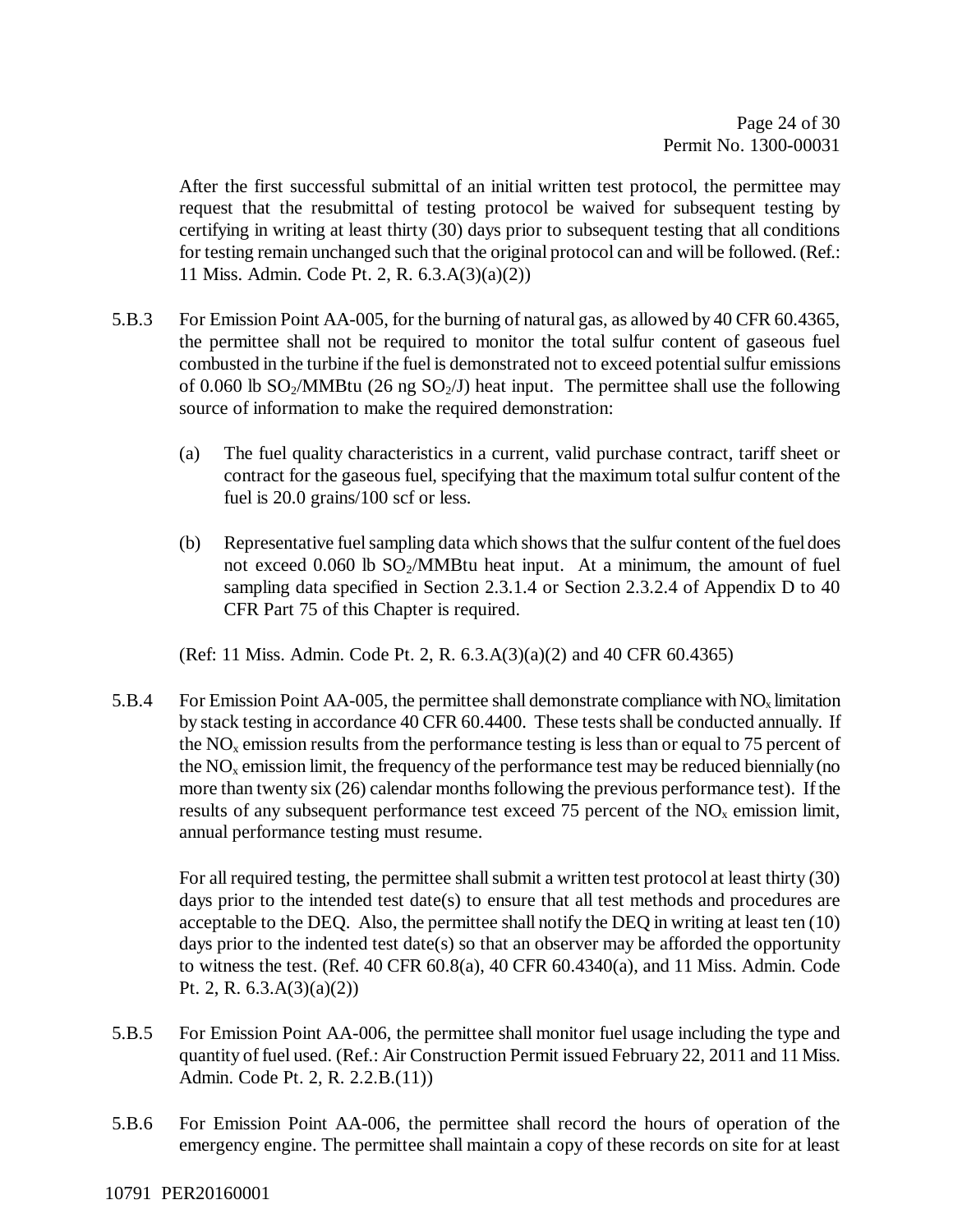After the first successful submittal of an initial written test protocol, the permittee may request that the resubmittal of testing protocol be waived for subsequent testing by certifying in writing at least thirty (30) days prior to subsequent testing that all conditions for testing remain unchanged such that the original protocol can and will be followed. (Ref.: 11 Miss. Admin. Code Pt. 2, R. 6.3.A(3)(a)(2))

- 5.B.3 For Emission Point AA-005, for the burning of natural gas, as allowed by 40 CFR 60.4365, the permittee shall not be required to monitor the total sulfur content of gaseous fuel combusted in the turbine if the fuel is demonstrated not to exceed potential sulfur emissions of 0.060 lb  $SO_2/MM$ Btu (26 ng  $SO_2/J$ ) heat input. The permittee shall use the following source of information to make the required demonstration:
	- (a) The fuel quality characteristics in a current, valid purchase contract, tariff sheet or contract for the gaseous fuel, specifying that the maximum total sulfur content of the fuel is 20.0 grains/100 scf or less.
	- (b) Representative fuel sampling data which shows that the sulfur content of the fuel does not exceed  $0.060$  lb  $SO<sub>2</sub>/MMB$ tu heat input. At a minimum, the amount of fuel sampling data specified in Section 2.3.1.4 or Section 2.3.2.4 of Appendix D to 40 CFR Part 75 of this Chapter is required.

(Ref: 11 Miss. Admin. Code Pt. 2, R. 6.3.A(3)(a)(2) and 40 CFR 60.4365)

5.B.4 For Emission Point AA-005, the permittee shall demonstrate compliance with  $NO_x$  limitation by stack testing in accordance 40 CFR 60.4400. These tests shall be conducted annually. If the  $NO<sub>x</sub>$  emission results from the performance testing is less than or equal to 75 percent of the  $NO<sub>x</sub>$  emission limit, the frequency of the performance test may be reduced biennially (no more than twenty six (26) calendar months following the previous performance test). If the results of any subsequent performance test exceed 75 percent of the  $NO<sub>x</sub>$  emission limit, annual performance testing must resume.

For all required testing, the permittee shall submit a written test protocol at least thirty (30) days prior to the intended test date(s) to ensure that all test methods and procedures are acceptable to the DEQ. Also, the permittee shall notify the DEQ in writing at least ten (10) days prior to the indented test date(s) so that an observer may be afforded the opportunity to witness the test. (Ref. 40 CFR  $60.8(a)$ , 40 CFR  $60.4340(a)$ , and 11 Miss. Admin. Code Pt. 2, R.  $6.3.A(3)(a)(2)$ 

- 5.B.5 For Emission Point AA-006, the permittee shall monitor fuel usage including the type and quantity of fuel used. (Ref.: Air Construction Permit issued February 22, 2011 and 11 Miss. Admin. Code Pt. 2, R. 2.2.B.(11))
- 5.B.6 For Emission Point AA-006, the permittee shall record the hours of operation of the emergency engine. The permittee shall maintain a copy of these records on site for at least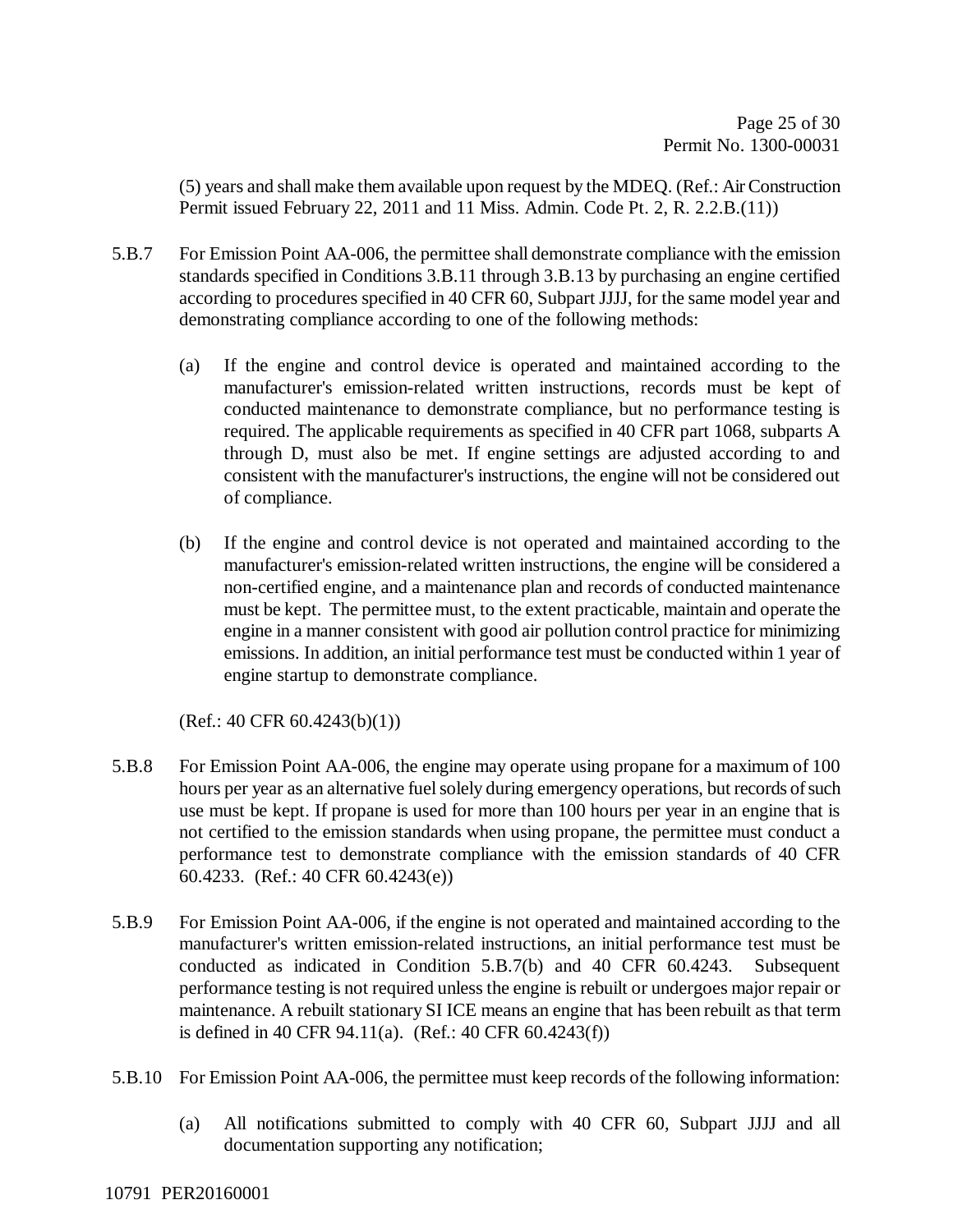(5) years and shall make them available upon request by the MDEQ. (Ref.: Air Construction Permit issued February 22, 2011 and 11 Miss. Admin. Code Pt. 2, R. 2.2.B.(11))

- 5.B.7 For Emission Point AA-006, the permittee shall demonstrate compliance with the emission standards specified in Conditions 3.B.11 through 3.B.13 by purchasing an engine certified according to procedures specified in 40 CFR 60, Subpart JJJJ, for the same model year and demonstrating compliance according to one of the following methods:
	- (a) If the engine and control device is operated and maintained according to the manufacturer's emission-related written instructions, records must be kept of conducted maintenance to demonstrate compliance, but no performance testing is required. The applicable requirements as specified in 40 CFR part 1068, subparts A through D, must also be met. If engine settings are adjusted according to and consistent with the manufacturer's instructions, the engine will not be considered out of compliance.
	- (b) If the engine and control device is not operated and maintained according to the manufacturer's emission-related written instructions, the engine will be considered a non-certified engine, and a maintenance plan and records of conducted maintenance must be kept. The permittee must, to the extent practicable, maintain and operate the engine in a manner consistent with good air pollution control practice for minimizing emissions. In addition, an initial performance test must be conducted within 1 year of engine startup to demonstrate compliance.

(Ref.: 40 CFR 60.4243(b)(1))

- 5.B.8 For Emission Point AA-006, the engine may operate using propane for a maximum of 100 hours per year as an alternative fuel solely during emergency operations, but records of such use must be kept. If propane is used for more than 100 hours per year in an engine that is not certified to the emission standards when using propane, the permittee must conduct a performance test to demonstrate compliance with the emission standards of 40 CFR 60.4233. (Ref.: 40 CFR 60.4243(e))
- 5.B.9 For Emission Point AA-006, if the engine is not operated and maintained according to the manufacturer's written emission-related instructions, an initial performance test must be conducted as indicated in Condition 5.B.7(b) and 40 CFR 60.4243. Subsequent performance testing is not required unless the engine is rebuilt or undergoes major repair or maintenance. A rebuilt stationary SI ICE means an engine that has been rebuilt as that term is defined in 40 CFR 94.11(a). (Ref.: 40 CFR 60.4243(f))
- 5.B.10 For Emission Point AA-006, the permittee must keep records of the following information:
	- (a) All notifications submitted to comply with 40 CFR 60, Subpart JJJJ and all documentation supporting any notification;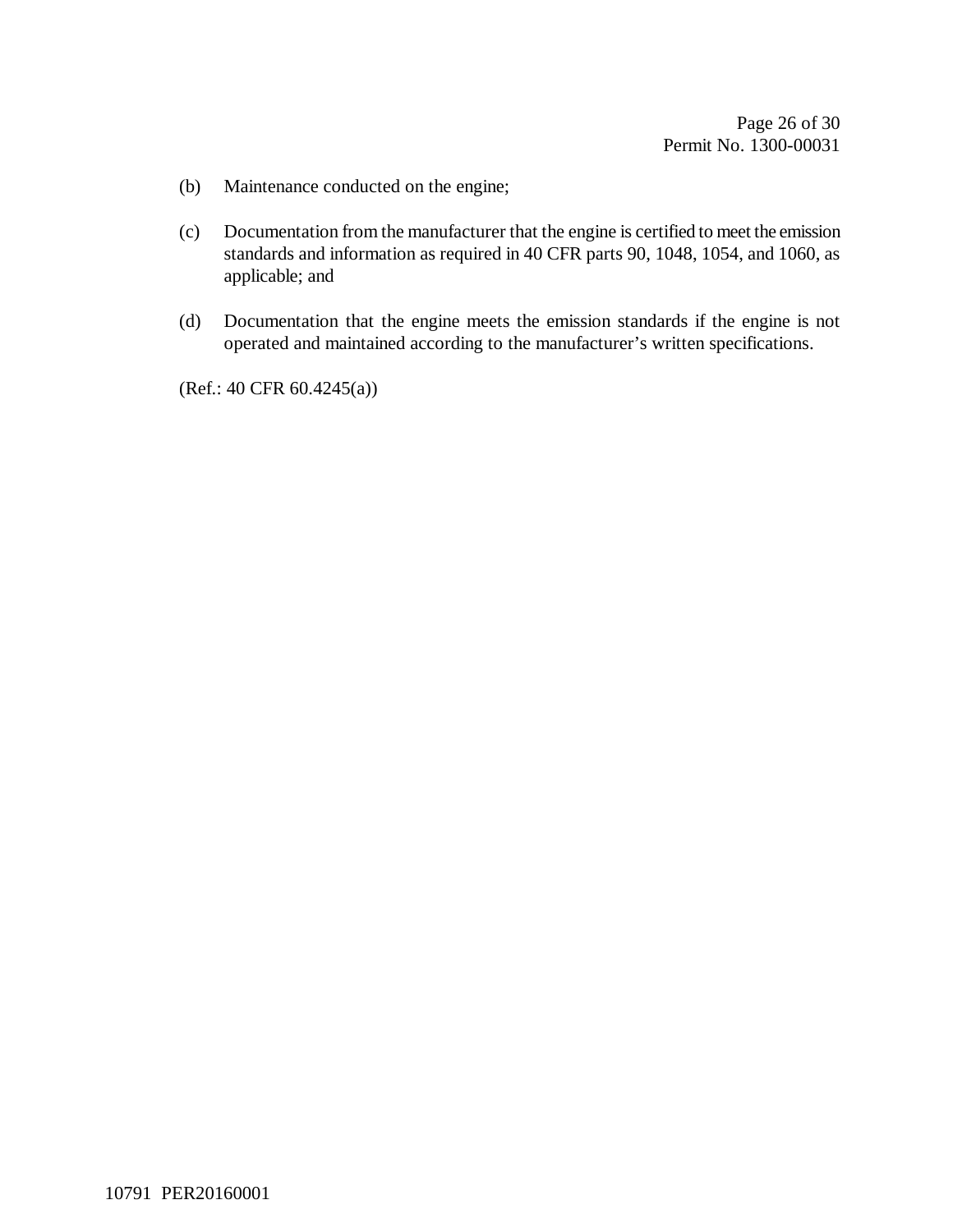- (b) Maintenance conducted on the engine;
- (c) Documentation from the manufacturer that the engine is certified to meet the emission standards and information as required in 40 CFR parts 90, 1048, 1054, and 1060, as applicable; and
- (d) Documentation that the engine meets the emission standards if the engine is not operated and maintained according to the manufacturer's written specifications.

(Ref.: 40 CFR 60.4245(a))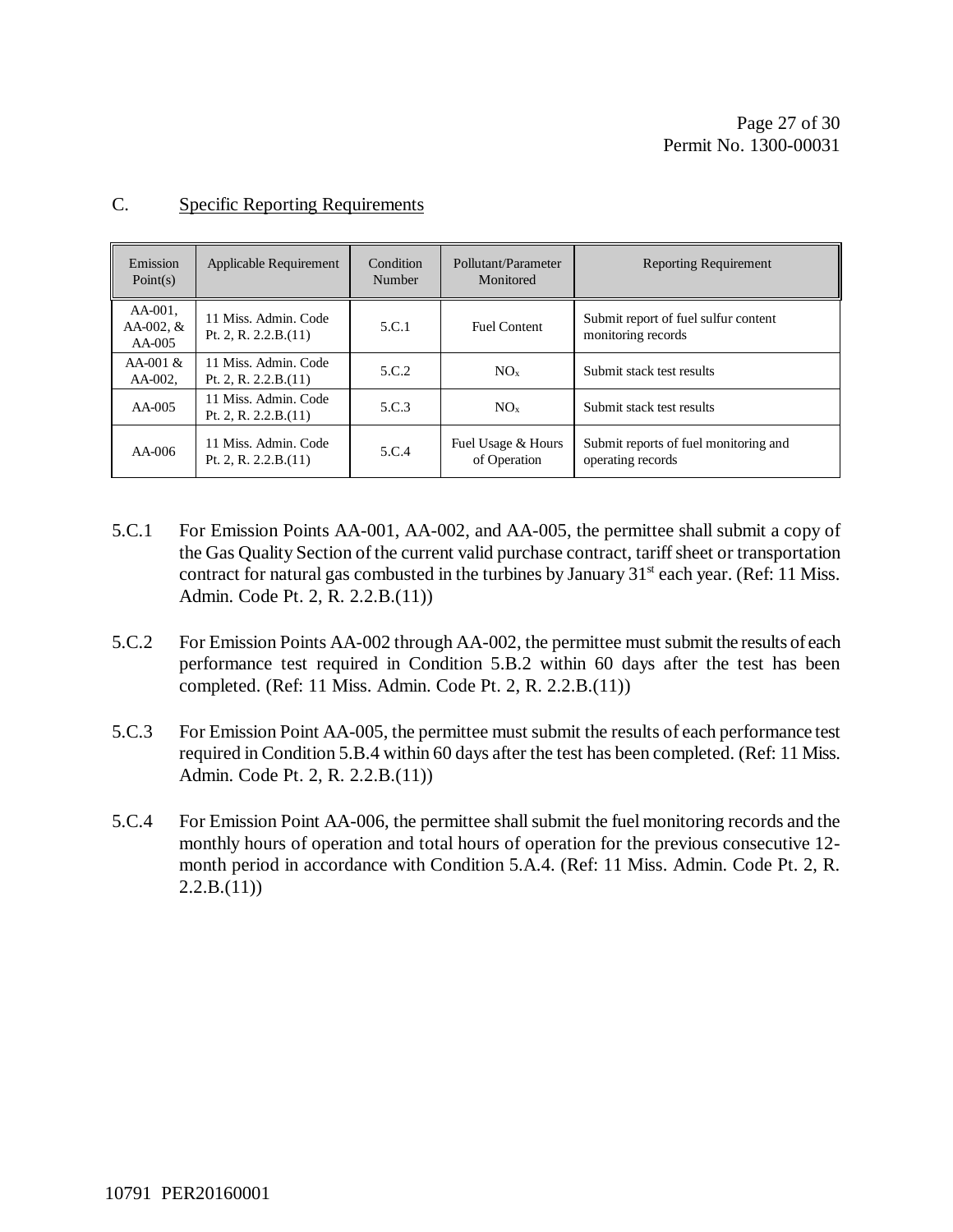| Emission<br>Point $(s)$               | Applicable Requirement                         | Condition<br>Number | Pollutant/Parameter<br>Monitored   | <b>Reporting Requirement</b>                               |
|---------------------------------------|------------------------------------------------|---------------------|------------------------------------|------------------------------------------------------------|
| $AA-001$ .<br>AA-002, $&$<br>$AA-005$ | 11 Miss. Admin. Code<br>Pt. 2, R. $2.2.B.(11)$ | 5.C.1               | <b>Fuel Content</b>                | Submit report of fuel sulfur content<br>monitoring records |
| $AA-001 \&$<br>$AA-002$ .             | 11 Miss. Admin. Code<br>Pt. 2, R. $2.2.B.(11)$ | 5.C.2               | NO <sub>x</sub>                    | Submit stack test results                                  |
| $AA-005$                              | 11 Miss. Admin. Code<br>Pt. 2, R. $2.2.B.(11)$ | 5.C.3               | NO <sub>x</sub>                    | Submit stack test results                                  |
| $AA-006$                              | 11 Miss. Admin. Code<br>Pt. 2, R. $2.2.B.(11)$ | 5.C.4               | Fuel Usage & Hours<br>of Operation | Submit reports of fuel monitoring and<br>operating records |

#### C. Specific Reporting Requirements

- 5.C.1 For Emission Points AA-001, AA-002, and AA-005, the permittee shall submit a copy of the Gas Quality Section of the current valid purchase contract, tariff sheet or transportation contract for natural gas combusted in the turbines by January  $31<sup>st</sup>$  each year. (Ref: 11 Miss. Admin. Code Pt. 2, R. 2.2.B.(11))
- 5.C.2 For Emission Points AA-002 through AA-002, the permittee must submit the results of each performance test required in Condition 5.B.2 within 60 days after the test has been completed. (Ref: 11 Miss. Admin. Code Pt. 2, R. 2.2.B.(11))
- 5.C.3 For Emission Point AA-005, the permittee must submit the results of each performance test required in Condition 5.B.4 within 60 days after the test has been completed. (Ref: 11 Miss. Admin. Code Pt. 2, R. 2.2.B.(11))
- 5.C.4 For Emission Point AA-006, the permittee shall submit the fuel monitoring records and the monthly hours of operation and total hours of operation for the previous consecutive 12 month period in accordance with Condition 5.A.4. (Ref: 11 Miss. Admin. Code Pt. 2, R.  $2.2.B.(11)$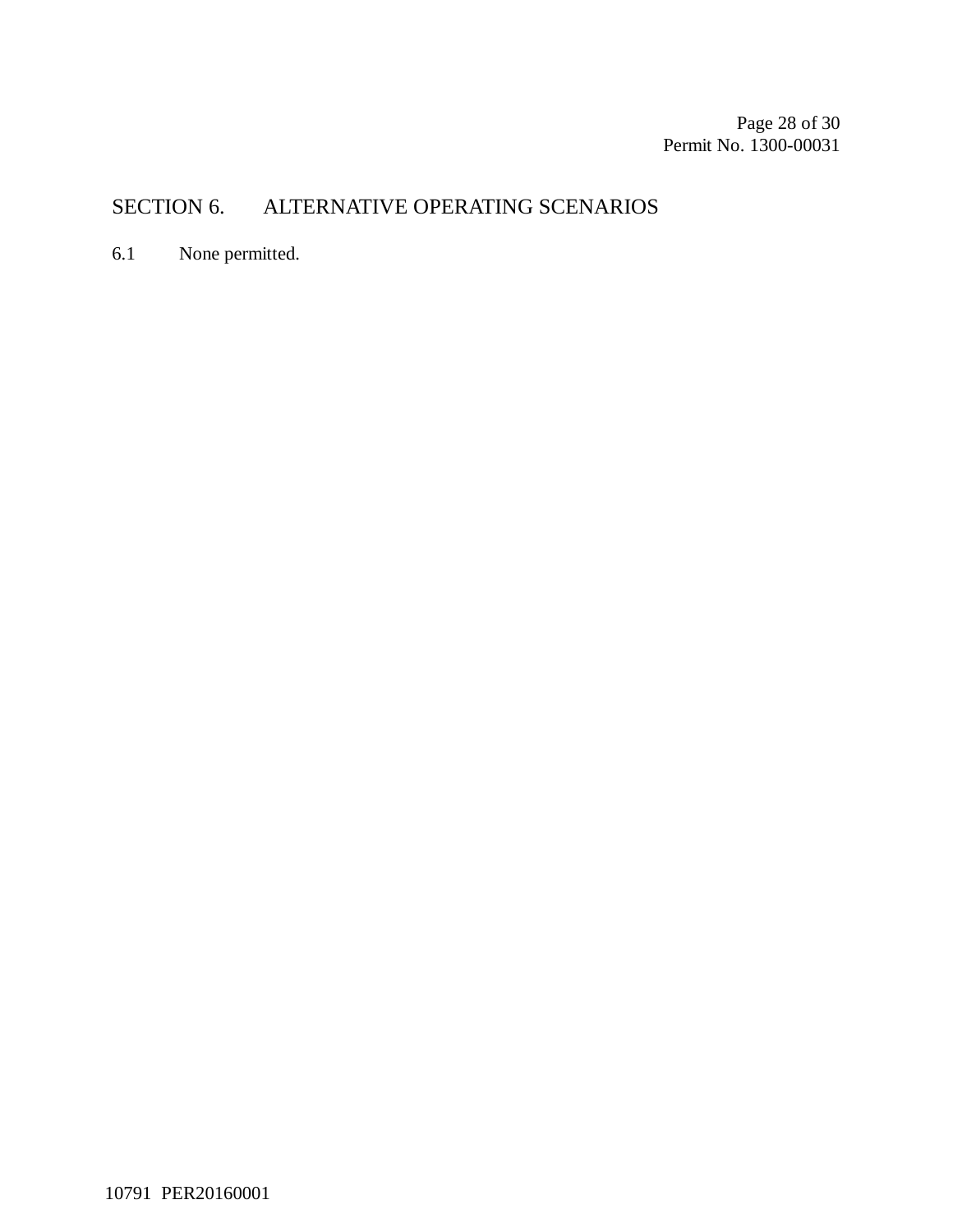Page 28 of 30 Permit No. 1300-00031

## SECTION 6. ALTERNATIVE OPERATING SCENARIOS

6.1 None permitted.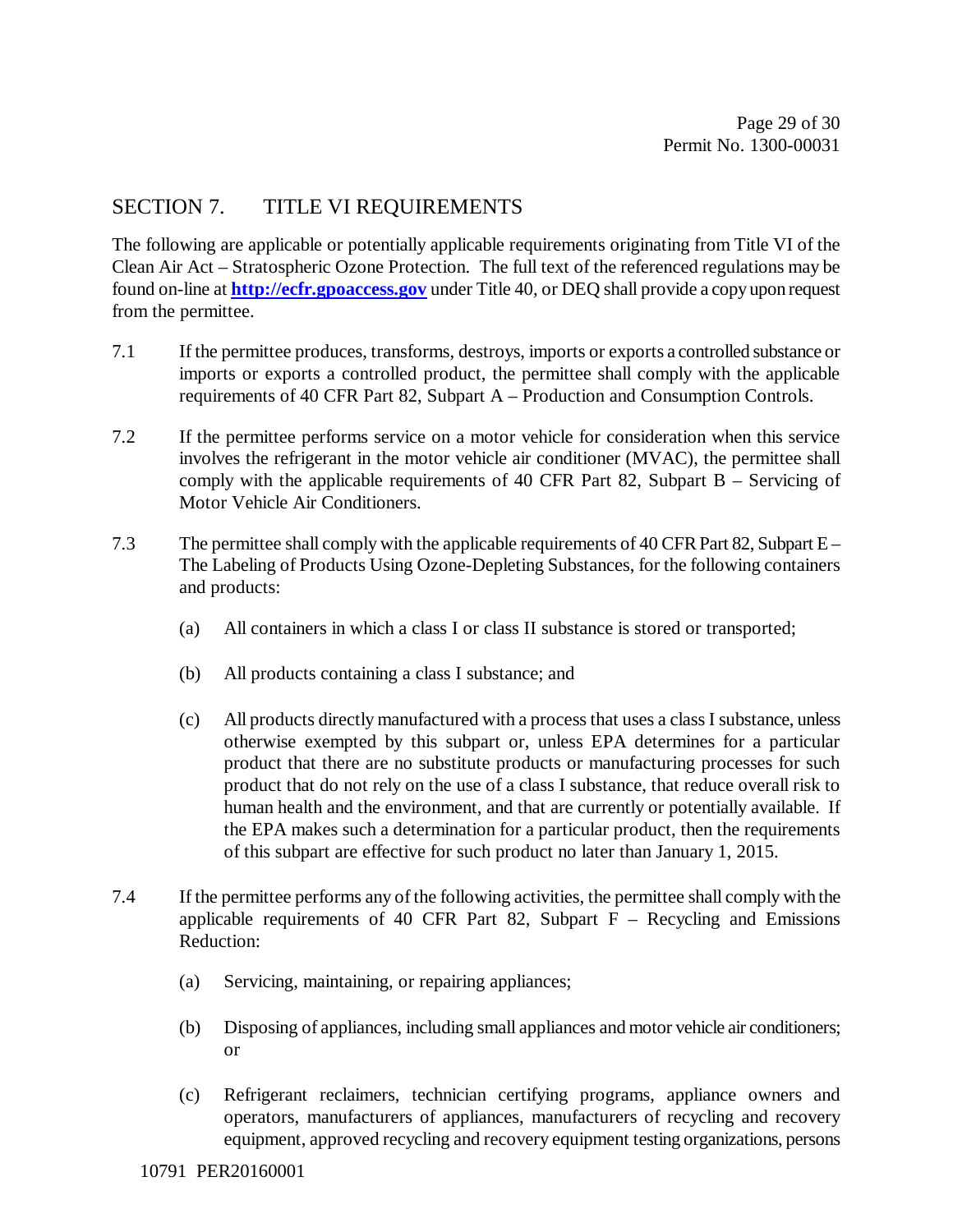## SECTION 7. TITLE VI REQUIREMENTS

The following are applicable or potentially applicable requirements originating from Title VI of the Clean Air Act – Stratospheric Ozone Protection. The full text of the referenced regulations may be found on-line at **http://ecfr.gpoaccess.gov** under Title 40, or DEQ shall provide a copy upon request from the permittee.

- 7.1 If the permittee produces, transforms, destroys, imports or exports a controlled substance or imports or exports a controlled product, the permittee shall comply with the applicable requirements of 40 CFR Part 82, Subpart A – Production and Consumption Controls.
- 7.2 If the permittee performs service on a motor vehicle for consideration when this service involves the refrigerant in the motor vehicle air conditioner (MVAC), the permittee shall comply with the applicable requirements of 40 CFR Part 82, Subpart B – Servicing of Motor Vehicle Air Conditioners.
- 7.3 The permittee shall comply with the applicable requirements of 40 CFR Part 82, Subpart E The Labeling of Products Using Ozone-Depleting Substances, for the following containers and products:
	- (a) All containers in which a class I or class II substance is stored or transported;
	- (b) All products containing a class I substance; and
	- (c) All products directly manufactured with a process that uses a class I substance, unless otherwise exempted by this subpart or, unless EPA determines for a particular product that there are no substitute products or manufacturing processes for such product that do not rely on the use of a class I substance, that reduce overall risk to human health and the environment, and that are currently or potentially available. If the EPA makes such a determination for a particular product, then the requirements of this subpart are effective for such product no later than January 1, 2015.
- 7.4 If the permittee performs any of the following activities, the permittee shall comply with the applicable requirements of 40 CFR Part 82, Subpart  $F -$  Recycling and Emissions Reduction:
	- (a) Servicing, maintaining, or repairing appliances;
	- (b) Disposing of appliances, including small appliances and motor vehicle air conditioners; or
	- (c) Refrigerant reclaimers, technician certifying programs, appliance owners and operators, manufacturers of appliances, manufacturers of recycling and recovery equipment, approved recycling and recovery equipment testing organizations, persons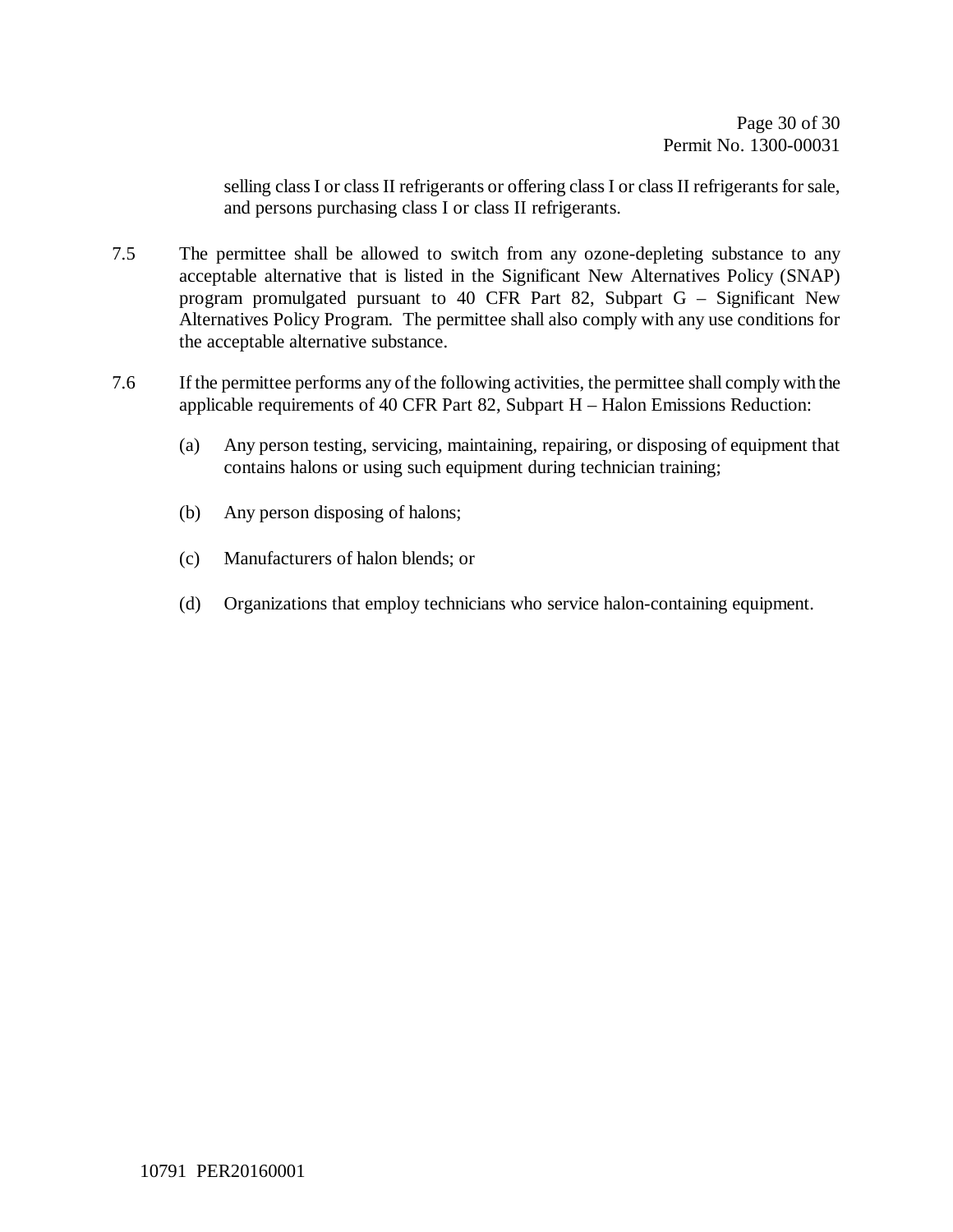selling class I or class II refrigerants or offering class I or class II refrigerants for sale, and persons purchasing class I or class II refrigerants.

- 7.5 The permittee shall be allowed to switch from any ozone-depleting substance to any acceptable alternative that is listed in the Significant New Alternatives Policy (SNAP) program promulgated pursuant to 40 CFR Part 82, Subpart G – Significant New Alternatives Policy Program. The permittee shall also comply with any use conditions for the acceptable alternative substance.
- 7.6 If the permittee performs any of the following activities, the permittee shall comply with the applicable requirements of 40 CFR Part 82, Subpart H – Halon Emissions Reduction:
	- (a) Any person testing, servicing, maintaining, repairing, or disposing of equipment that contains halons or using such equipment during technician training;
	- (b) Any person disposing of halons;
	- (c) Manufacturers of halon blends; or
	- (d) Organizations that employ technicians who service halon-containing equipment.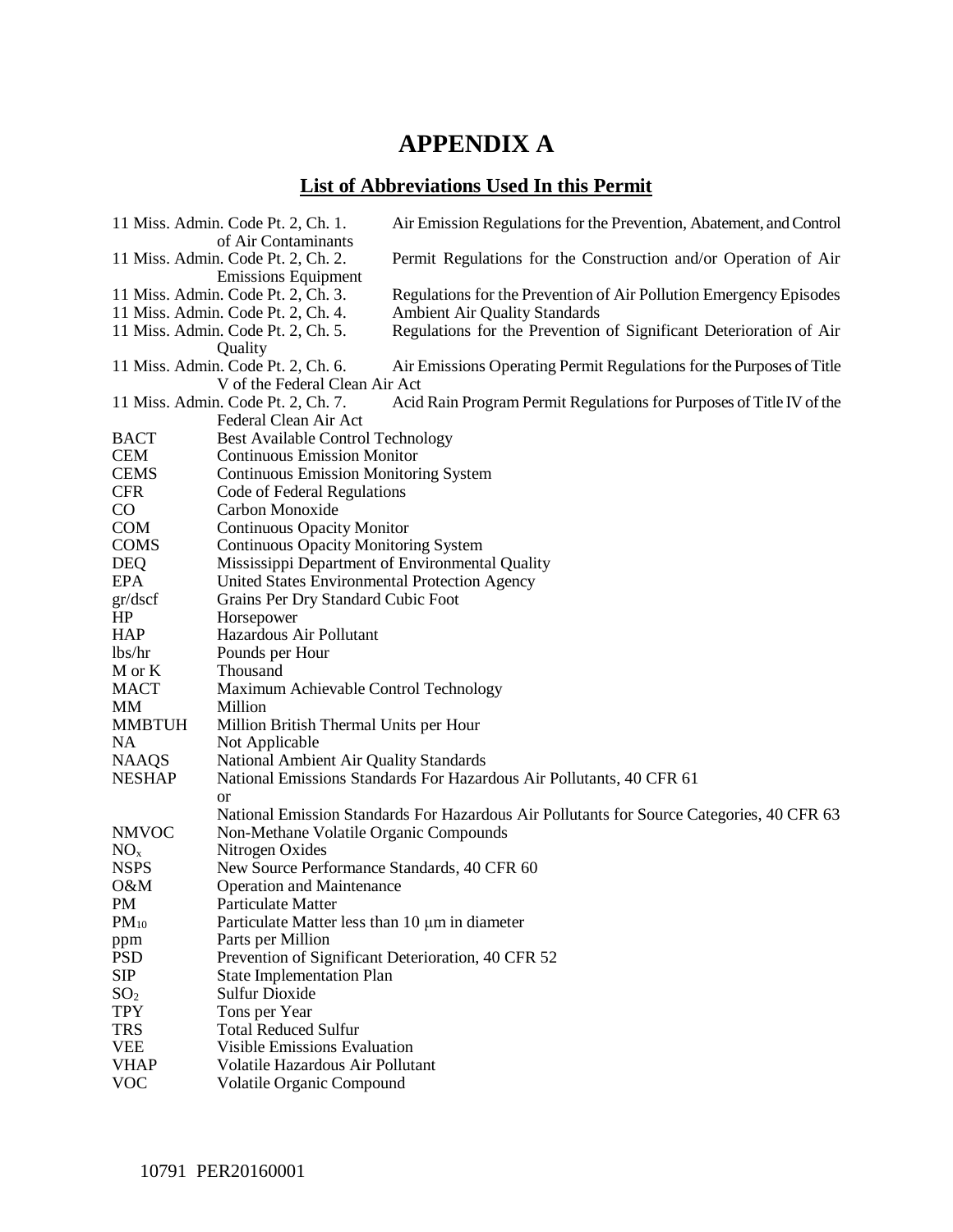# **APPENDIX A**

## **List of Abbreviations Used In this Permit**

|                 | 11 Miss. Admin. Code Pt. 2, Ch. 1.<br>of Air Contaminants | Air Emission Regulations for the Prevention, Abatement, and Control                       |
|-----------------|-----------------------------------------------------------|-------------------------------------------------------------------------------------------|
|                 | 11 Miss. Admin. Code Pt. 2, Ch. 2.                        | Permit Regulations for the Construction and/or Operation of Air                           |
|                 | <b>Emissions Equipment</b>                                |                                                                                           |
|                 | 11 Miss. Admin. Code Pt. 2, Ch. 3.                        | Regulations for the Prevention of Air Pollution Emergency Episodes                        |
|                 | 11 Miss. Admin. Code Pt. 2, Ch. 4.                        | <b>Ambient Air Quality Standards</b>                                                      |
|                 | 11 Miss. Admin. Code Pt. 2, Ch. 5.<br>Quality             | Regulations for the Prevention of Significant Deterioration of Air                        |
|                 | 11 Miss. Admin. Code Pt. 2, Ch. 6.                        | Air Emissions Operating Permit Regulations for the Purposes of Title                      |
|                 | V of the Federal Clean Air Act                            |                                                                                           |
|                 | 11 Miss. Admin. Code Pt. 2, Ch. 7.                        | Acid Rain Program Permit Regulations for Purposes of Title IV of the                      |
|                 | Federal Clean Air Act                                     |                                                                                           |
| <b>BACT</b>     | <b>Best Available Control Technology</b>                  |                                                                                           |
| <b>CEM</b>      | <b>Continuous Emission Monitor</b>                        |                                                                                           |
| <b>CEMS</b>     | <b>Continuous Emission Monitoring System</b>              |                                                                                           |
| <b>CFR</b>      | Code of Federal Regulations                               |                                                                                           |
| $\rm CO$        | Carbon Monoxide                                           |                                                                                           |
| <b>COM</b>      | <b>Continuous Opacity Monitor</b>                         |                                                                                           |
| <b>COMS</b>     | <b>Continuous Opacity Monitoring System</b>               |                                                                                           |
| <b>DEQ</b>      | Mississippi Department of Environmental Quality           |                                                                                           |
| EPA             | United States Environmental Protection Agency             |                                                                                           |
| gr/dscf         | Grains Per Dry Standard Cubic Foot                        |                                                                                           |
| HP              | Horsepower                                                |                                                                                           |
| <b>HAP</b>      | Hazardous Air Pollutant                                   |                                                                                           |
| lbs/hr          | Pounds per Hour                                           |                                                                                           |
| M or K          | Thousand                                                  |                                                                                           |
| <b>MACT</b>     | Maximum Achievable Control Technology                     |                                                                                           |
| MМ              | Million                                                   |                                                                                           |
| <b>MMBTUH</b>   | Million British Thermal Units per Hour                    |                                                                                           |
| NA              | Not Applicable                                            |                                                                                           |
| <b>NAAQS</b>    | <b>National Ambient Air Quality Standards</b>             |                                                                                           |
| <b>NESHAP</b>   |                                                           | National Emissions Standards For Hazardous Air Pollutants, 40 CFR 61                      |
|                 | or                                                        |                                                                                           |
|                 |                                                           | National Emission Standards For Hazardous Air Pollutants for Source Categories, 40 CFR 63 |
| <b>NMVOC</b>    | Non-Methane Volatile Organic Compounds                    |                                                                                           |
| NO <sub>x</sub> | Nitrogen Oxides                                           |                                                                                           |
| <b>NSPS</b>     | New Source Performance Standards, 40 CFR 60               |                                                                                           |
| 0&M             | <b>Operation and Maintenance</b>                          |                                                                                           |
| PM              | Particulate Matter                                        |                                                                                           |
| $PM_{10}$       | Particulate Matter less than 10 µm in diameter            |                                                                                           |
| ppm             | Parts per Million                                         |                                                                                           |
| <b>PSD</b>      | Prevention of Significant Deterioration, 40 CFR 52        |                                                                                           |
| <b>SIP</b>      | <b>State Implementation Plan</b>                          |                                                                                           |
| SO <sub>2</sub> | <b>Sulfur Dioxide</b>                                     |                                                                                           |
| <b>TPY</b>      | Tons per Year                                             |                                                                                           |
| <b>TRS</b>      | <b>Total Reduced Sulfur</b>                               |                                                                                           |
| <b>VEE</b>      | <b>Visible Emissions Evaluation</b>                       |                                                                                           |
| <b>VHAP</b>     | Volatile Hazardous Air Pollutant                          |                                                                                           |
| <b>VOC</b>      | Volatile Organic Compound                                 |                                                                                           |